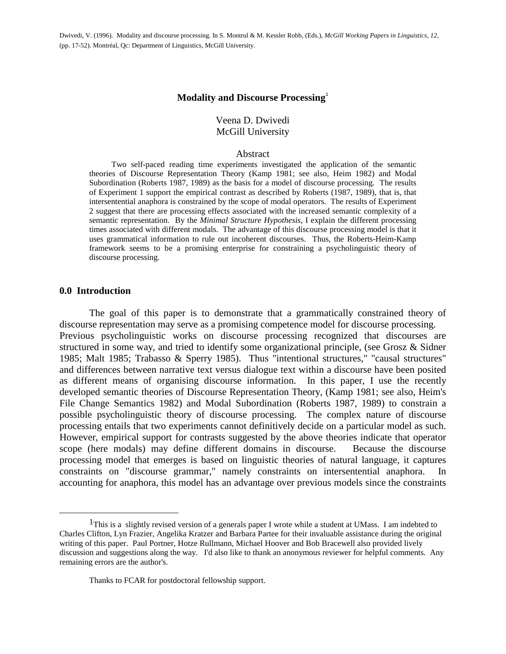Dwivedi, V. (1996). Modality and discourse processing. In S. Montrul & M. Kessler Robb, (Eds.), *McGill Working Papers in Linguistics*, *12*, (pp. 17-52). Montréal, Qc: Department of Linguistics, McGill University.

#### **Modality and Discourse Processing**

#### Veena D. Dwivedi McGill University

#### Abstract

 Two self-paced reading time experiments investigated the application of the semantic theories of Discourse Representation Theory (Kamp 1981; see also, Heim 1982) and Modal Subordination (Roberts 1987, 1989) as the basis for a model of discourse processing. The results of Experiment 1 support the empirical contrast as described by Roberts (1987, 1989), that is, that intersentential anaphora is constrained by the scope of modal operators. The results of Experiment 2 suggest that there are processing effects associated with the increased semantic complexity of a semantic representation. By the *Minimal Structure Hypothesis,* I explain the different processing times associated with different modals. The advantage of this discourse processing model is that it uses grammatical information to rule out incoherent discourses. Thus, the Roberts-Heim-Kamp framework seems to be a promising enterprise for constraining a psycholinguistic theory of discourse processing.

#### **0.0 Introduction**

<u>.</u>

 The goal of this paper is to demonstrate that a grammatically constrained theory of discourse representation may serve as a promising competence model for discourse processing. Previous psycholinguistic works on discourse processing recognized that discourses are structured in some way, and tried to identify some organizational principle, (see Grosz & Sidner 1985; Malt 1985; Trabasso & Sperry 1985). Thus "intentional structures," "causal structures" and differences between narrative text versus dialogue text within a discourse have been posited as different means of organising discourse information. In this paper, I use the recently developed semantic theories of Discourse Representation Theory, (Kamp 1981; see also, Heim's File Change Semantics 1982) and Modal Subordination (Roberts 1987, 1989) to constrain a possible psycholinguistic theory of discourse processing. The complex nature of discourse processing entails that two experiments cannot definitively decide on a particular model as such. However, empirical support for contrasts suggested by the above theories indicate that operator scope (here modals) may define different domains in discourse. Because the discourse processing model that emerges is based on linguistic theories of natural language, it captures constraints on "discourse grammar," namely constraints on intersentential anaphora. In accounting for anaphora, this model has an advantage over previous models since the constraints

<sup>&</sup>lt;sup>1</sup>This is a slightly revised version of a generals paper I wrote while a student at UMass. I am indebted to Charles Clifton, Lyn Frazier, Angelika Kratzer and Barbara Partee for their invaluable assistance during the original writing of this paper. Paul Portner, Hotze Rullmann, Michael Hoover and Bob Bracewell also provided lively discussion and suggestions along the way. I'd also like to thank an anonymous reviewer for helpful comments. Any remaining errors are the author's.

Thanks to FCAR for postdoctoral fellowship support.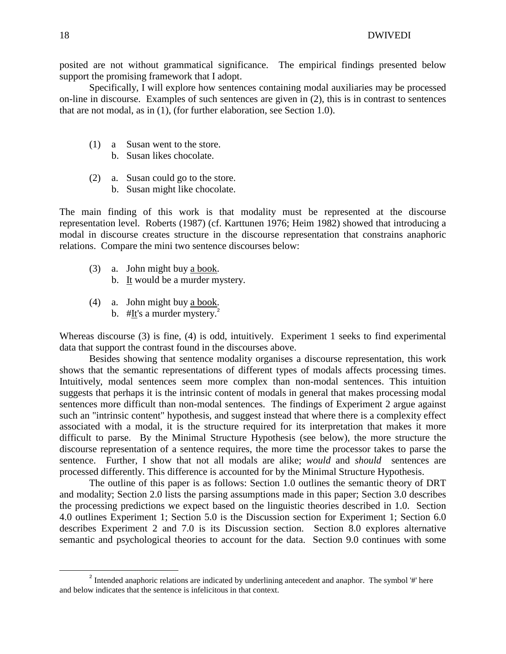posited are not without grammatical significance. The empirical findings presented below support the promising framework that I adopt.

 Specifically, I will explore how sentences containing modal auxiliaries may be processed on-line in discourse. Examples of such sentences are given in (2), this is in contrast to sentences that are not modal, as in (1), (for further elaboration, see Section 1.0).

- (1) a Susan went to the store.
	- b. Susan likes chocolate.
- (2) a. Susan could go to the store.
	- b. Susan might like chocolate.

The main finding of this work is that modality must be represented at the discourse representation level. Roberts (1987) (cf. Karttunen 1976; Heim 1982) showed that introducing a modal in discourse creates structure in the discourse representation that constrains anaphoric relations. Compare the mini two sentence discourses below:

- (3) a. John might buy a book.
	- b. It would be a murder mystery.
- (4) a. John might buy a book. b. #It's a murder mystery. $^{2}$ 
	-

Whereas discourse (3) is fine, (4) is odd, intuitively. Experiment 1 seeks to find experimental data that support the contrast found in the discourses above.

 Besides showing that sentence modality organises a discourse representation, this work shows that the semantic representations of different types of modals affects processing times. Intuitively, modal sentences seem more complex than non-modal sentences. This intuition suggests that perhaps it is the intrinsic content of modals in general that makes processing modal sentences more difficult than non-modal sentences. The findings of Experiment 2 argue against such an "intrinsic content" hypothesis, and suggest instead that where there is a complexity effect associated with a modal, it is the structure required for its interpretation that makes it more difficult to parse. By the Minimal Structure Hypothesis (see below), the more structure the discourse representation of a sentence requires, the more time the processor takes to parse the sentence. Further, I show that not all modals are alike; *would* and *should* sentences are processed differently. This difference is accounted for by the Minimal Structure Hypothesis.

 The outline of this paper is as follows: Section 1.0 outlines the semantic theory of DRT and modality; Section 2.0 lists the parsing assumptions made in this paper; Section 3.0 describes the processing predictions we expect based on the linguistic theories described in 1.0. Section 4.0 outlines Experiment 1; Section 5.0 is the Discussion section for Experiment 1; Section 6.0 describes Experiment 2 and 7.0 is its Discussion section. Section 8.0 explores alternative semantic and psychological theories to account for the data. Section 9.0 continues with some

l

 $2$  Intended anaphoric relations are indicated by underlining antecedent and anaphor. The symbol '#' here and below indicates that the sentence is infelicitous in that context.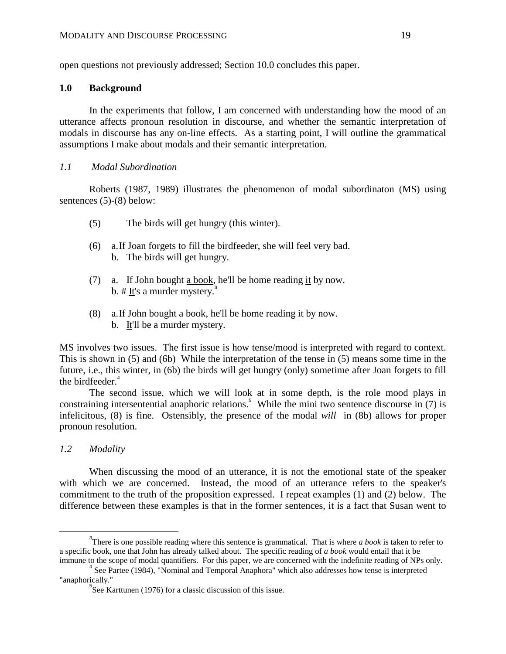open questions not previously addressed; Section 10.0 concludes this paper.

#### **1.0 Background**

 In the experiments that follow, I am concerned with understanding how the mood of an utterance affects pronoun resolution in discourse, and whether the semantic interpretation of modals in discourse has any on-line effects. As a starting point, I will outline the grammatical assumptions I make about modals and their semantic interpretation.

#### *1.1 Modal Subordination*

 Roberts (1987, 1989) illustrates the phenomenon of modal subordinaton (MS) using sentences (5)-(8) below:

- (5) The birds will get hungry (this winter).
- (6) a. If Joan forgets to fill the birdfeeder, she will feel very bad. b. The birds will get hungry.
- (7) a. If John bought a book, he'll be home reading it by now. b. # It's a murder mystery.<sup>3</sup>
- (8) a. If John bought a book, he'll be home reading it by now. b. It'll be a murder mystery.

MS involves two issues. The first issue is how tense/mood is interpreted with regard to context. This is shown in (5) and (6b) While the interpretation of the tense in (5) means some time in the future, i.e., this winter, in (6b) the birds will get hungry (only) sometime after Joan forgets to fill the birdfeeder. $4$ 

 The second issue, which we will look at in some depth, is the role mood plays in constraining intersentential anaphoric relations.<sup>5</sup> While the mini two sentence discourse in (7) is infelicitous, (8) is fine. Ostensibly, the presence of the modal *will* in (8b) allows for proper pronoun resolution.

## *1.2 Modality*

 $\overline{a}$ 

 When discussing the mood of an utterance, it is not the emotional state of the speaker with which we are concerned. Instead, the mood of an utterance refers to the speaker's commitment to the truth of the proposition expressed. I repeat examples (1) and (2) below. The difference between these examples is that in the former sentences, it is a fact that Susan went to

<sup>&</sup>lt;sup>3</sup>There is one possible reading where this sentence is grammatical. That is where *a book* is taken to refer to a specific book, one that John has already talked about. The specific reading of *a book* would entail that it be immune to the scope of modal quantifiers. For this paper, we are concerned with the indefinite reading of NPs only.

<sup>&</sup>lt;sup>4</sup> See Partee (1984), "Nominal and Temporal Anaphora" which also addresses how tense is interpreted "anaphorically."

<sup>&</sup>lt;sup>5</sup>See Karttunen (1976) for a classic discussion of this issue.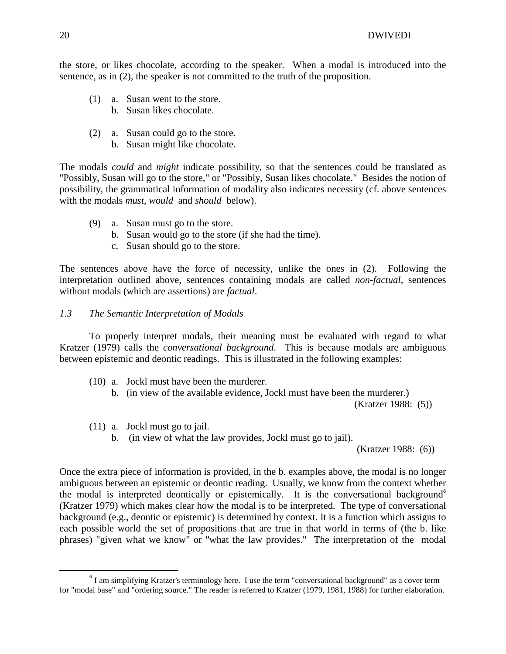the store, or likes chocolate, according to the speaker. When a modal is introduced into the sentence, as in (2), the speaker is not committed to the truth of the proposition.

- (1) a. Susan went to the store.
	- b. Susan likes chocolate.
- (2) a. Susan could go to the store.
	- b. Susan might like chocolate.

The modals *could* and *might* indicate possibility, so that the sentences could be translated as "Possibly, Susan will go to the store," or "Possibly, Susan likes chocolate." Besides the notion of possibility, the grammatical information of modality also indicates necessity (cf. above sentences with the modals *must*, *would* and *should* below).

- (9) a. Susan must go to the store.
	- b. Susan would go to the store (if she had the time).
	- c. Susan should go to the store.

The sentences above have the force of necessity, unlike the ones in (2). Following the interpretation outlined above, sentences containing modals are called *non-factual*, sentences without modals (which are assertions) are *factual*.

### *1.3 The Semantic Interpretation of Modals*

 To properly interpret modals, their meaning must be evaluated with regard to what Kratzer (1979) calls the *conversational background*. This is because modals are ambiguous between epistemic and deontic readings. This is illustrated in the following examples:

 (10) a. Jockl must have been the murderer. b. (in view of the available evidence, Jockl must have been the murderer.)

(Kratzer 1988: (5))

- (11) a. Jockl must go to jail.
	- b. (in view of what the law provides, Jockl must go to jail).

(Kratzer 1988: (6))

Once the extra piece of information is provided, in the b. examples above, the modal is no longer ambiguous between an epistemic or deontic reading. Usually, we know from the context whether the modal is interpreted deontically or epistemically. It is the conversational background<sup>6</sup> (Kratzer 1979) which makes clear how the modal is to be interpreted. The type of conversational background (e.g., deontic or epistemic) is determined by context. It is a function which assigns to each possible world the set of propositions that are true in that world in terms of (the b. like phrases) "given what we know" or "what the law provides." The interpretation of the modal

-

<sup>&</sup>lt;sup>6</sup> I am simplifying Kratzer's terminology here. I use the term "conversational background" as a cover term for "modal base" and "ordering source." The reader is referred to Kratzer (1979, 1981, 1988) for further elaboration.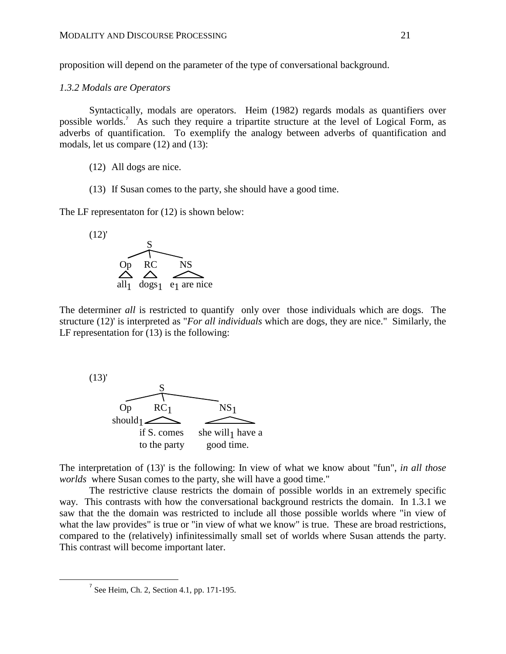proposition will depend on the parameter of the type of conversational background.

#### *1.3.2 Modals are Operators*

 Syntactically, modals are operators. Heim (1982) regards modals as quantifiers over possible worlds.<sup>7</sup> As such they require a tripartite structure at the level of Logical Form, as adverbs of quantification. To exemplify the analogy between adverbs of quantification and modals, let us compare (12) and (13):

- (12) All dogs are nice.
- (13) If Susan comes to the party, she should have a good time.

The LF representaton for (12) is shown below:



The determiner *all* is restricted to quantify only over those individuals which are dogs. The structure (12)' is interpreted as "*For all individuals* which are dogs, they are nice." Similarly, the LF representation for (13) is the following:



The interpretation of (13)' is the following: In view of what we know about "fun", *in all those worlds* where Susan comes to the party, she will have a good time."

 The restrictive clause restricts the domain of possible worlds in an extremely specific way. This contrasts with how the conversational background restricts the domain. In 1.3.1 we saw that the the domain was restricted to include all those possible worlds where "in view of what the law provides" is true or "in view of what we know" is true. These are broad restrictions, compared to the (relatively) infinitessimally small set of worlds where Susan attends the party. This contrast will become important later.

 $\overline{a}$ 

 $<sup>7</sup>$  See Heim, Ch. 2, Section 4.1, pp. 171-195.</sup>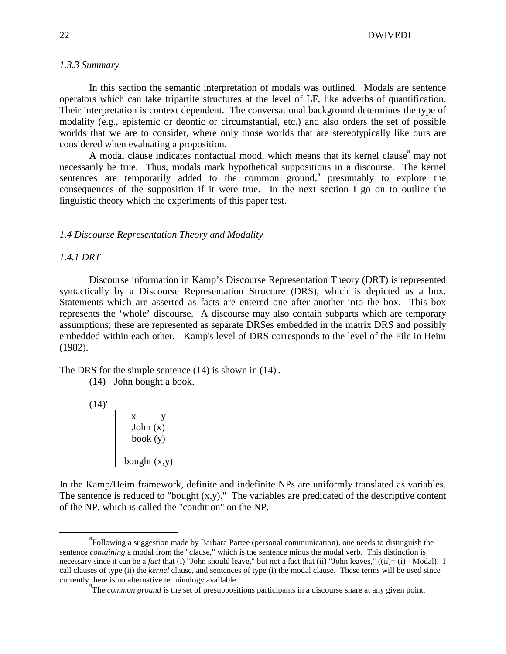#### 22 DWIVEDI

#### *1.3.3 Summary*

 In this section the semantic interpretation of modals was outlined. Modals are sentence operators which can take tripartite structures at the level of LF, like adverbs of quantification. Their interpretation is context dependent. The conversational background determines the type of modality (e.g., epistemic or deontic or circumstantial, etc.) and also orders the set of possible worlds that we are to consider, where only those worlds that are stereotypically like ours are considered when evaluating a proposition.

A modal clause indicates nonfactual mood, which means that its kernel clause may not necessarily be true. Thus, modals mark hypothetical suppositions in a discourse. The kernel sentences are temporarily added to the common ground,<sup>9</sup> presumably to explore the consequences of the supposition if it were true. In the next section I go on to outline the linguistic theory which the experiments of this paper test.

#### *1.4 Discourse Representation Theory and Modality*

#### *1.4.1 DRT*

 Discourse information in Kamp's Discourse Representation Theory (DRT) is represented syntactically by a Discourse Representation Structure (DRS), which is depicted as a box. Statements which are asserted as facts are entered one after another into the box. This box represents the 'whole' discourse. A discourse may also contain subparts which are temporary assumptions; these are represented as separate DRSes embedded in the matrix DRS and possibly embedded within each other. Kamp's level of DRS corresponds to the level of the File in Heim (1982).

The DRS for the simple sentence (14) is shown in (14)'.

 $(14)'$ 

<u>.</u>

| x<br>John $(x)$<br>book(y) |  |
|----------------------------|--|
| bought $(x,y)$             |  |

In the Kamp/Heim framework, definite and indefinite NPs are uniformly translated as variables. The sentence is reduced to "bought (x,y)." The variables are predicated of the descriptive content of the NP, which is called the "condition" on the NP.

 <sup>(14)</sup> John bought a book.

<sup>&</sup>lt;sup>8</sup>Following a suggestion made by Barbara Partee (personal communication), one needs to distinguish the sentence *containing* a modal from the "clause," which is the sentence minus the modal verb. This distinction is necessary since it can be a *fact* that (i) "John should leave," but not a fact that (ii) "John leaves," ((ii)= (i) - Modal). I call clauses of type (ii) the *kernel* clause, and sentences of type (i) the modal clause. These terms will be used since currently there is no alternative terminology available.

<sup>&</sup>lt;sup>9</sup>The *common ground* is the set of presuppositions participants in a discourse share at any given point.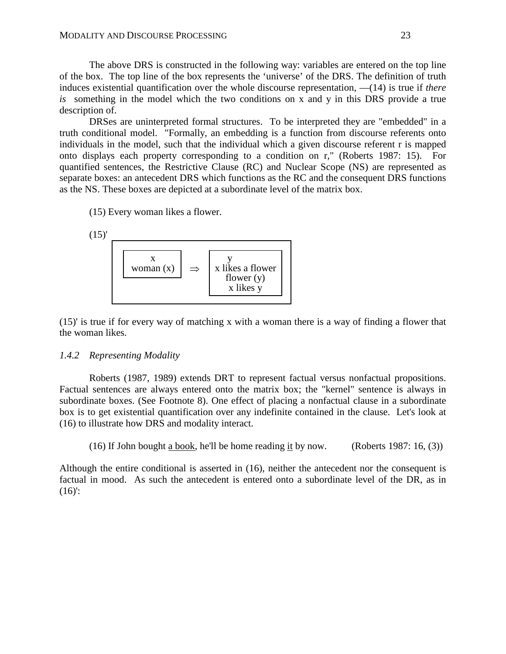The above DRS is constructed in the following way: variables are entered on the top line of the box. The top line of the box represents the 'universe' of the DRS. The definition of truth induces existential quantification over the whole discourse representation, —(14) is true if *there is* something in the model which the two conditions on x and y in this DRS provide a true description of.

 DRSes are uninterpreted formal structures. To be interpreted they are "embedded" in a truth conditional model. "Formally, an embedding is a function from discourse referents onto individuals in the model, such that the individual which a given discourse referent r is mapped onto displays each property corresponding to a condition on r," (Roberts 1987: 15). For quantified sentences, the Restrictive Clause (RC) and Nuclear Scope (NS) are represented as separate boxes: an antecedent DRS which functions as the RC and the consequent DRS functions as the NS. These boxes are depicted at a subordinate level of the matrix box.

(15) Every woman likes a flower.



(15)' is true if for every way of matching x with a woman there is a way of finding a flower that the woman likes.

#### *1.4.2 Representing Modality*

 Roberts (1987, 1989) extends DRT to represent factual versus nonfactual propositions. Factual sentences are always entered onto the matrix box; the "kernel" sentence is always in subordinate boxes. (See Footnote 8). One effect of placing a nonfactual clause in a subordinate box is to get existential quantification over any indefinite contained in the clause. Let's look at (16) to illustrate how DRS and modality interact.

(16) If John bought a book, he'll be home reading it by now. (Roberts 1987: 16, (3))

Although the entire conditional is asserted in (16), neither the antecedent nor the consequent is factual in mood. As such the antecedent is entered onto a subordinate level of the DR, as in  $(16)'$ :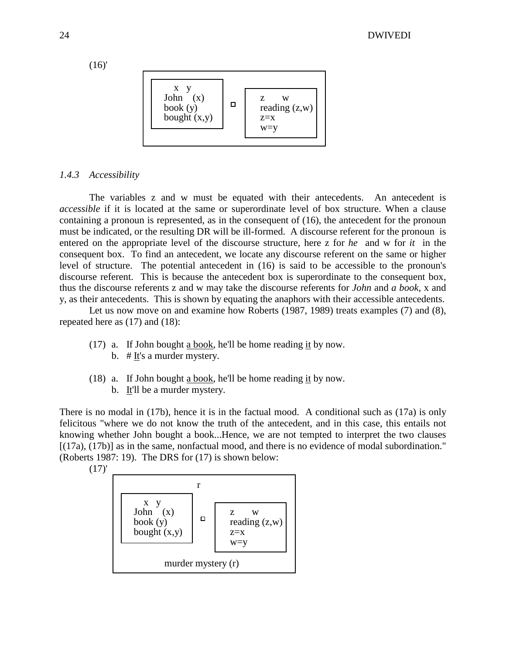(16)'



#### *1.4.3 Accessibility*

 The variables z and w must be equated with their antecedents. An antecedent is *accessible* if it is located at the same or superordinate level of box structure. When a clause containing a pronoun is represented, as in the consequent of (16), the antecedent for the pronoun must be indicated, or the resulting DR will be ill-formed. A discourse referent for the pronoun is entered on the appropriate level of the discourse structure, here z for *he* and w for *it* in the consequent box. To find an antecedent, we locate any discourse referent on the same or higher level of structure. The potential antecedent in (16) is said to be accessible to the pronoun's discourse referent. This is because the antecedent box is superordinate to the consequent box, thus the discourse referents z and w may take the discourse referents for *John* and *a book*, x and y, as their antecedents. This is shown by equating the anaphors with their accessible antecedents.

 Let us now move on and examine how Roberts (1987, 1989) treats examples (7) and (8), repeated here as (17) and (18):

- (17) a. If John bought a book, he'll be home reading it by now.
	- b. # It's a murder mystery.
- (18) a. If John bought a book, he'll be home reading it by now.
	- b. It'll be a murder mystery.

There is no modal in (17b), hence it is in the factual mood. A conditional such as (17a) is only felicitous "where we do not know the truth of the antecedent, and in this case, this entails not knowing whether John bought a book...Hence, we are not tempted to interpret the two clauses [(17a), (17b)] as in the same, nonfactual mood, and there is no evidence of modal subordination." (Roberts 1987: 19). The DRS for (17) is shown below:



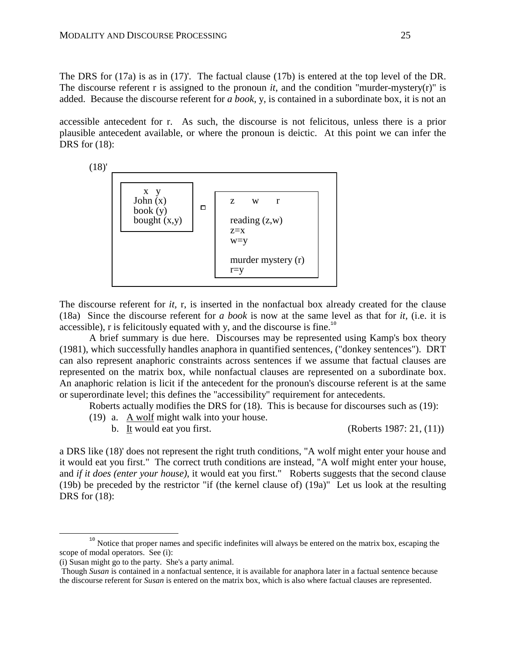The DRS for (17a) is as in (17)'. The factual clause (17b) is entered at the top level of the DR. The discourse referent r is assigned to the pronoun  $it$ , and the condition "murder-mystery(r)" is added. Because the discourse referent for *a book*, y, is contained in a subordinate box, it is not an

accessible antecedent for r. As such, the discourse is not felicitous, unless there is a prior plausible antecedent available, or where the pronoun is deictic. At this point we can infer the DRS for (18):



The discourse referent for *it,* r, is inserted in the nonfactual box already created for the clause (18a) Since the discourse referent for *a book* is now at the same level as that for *it,* (i.e. it is accessible), r is felicitously equated with y, and the discourse is fine.<sup>10</sup>

 A brief summary is due here. Discourses may be represented using Kamp's box theory (1981), which successfully handles anaphora in quantified sentences, ("donkey sentences"). DRT can also represent anaphoric constraints across sentences if we assume that factual clauses are represented on the matrix box, while nonfactual clauses are represented on a subordinate box. An anaphoric relation is licit if the antecedent for the pronoun's discourse referent is at the same or superordinate level; this defines the "accessibility" requirement for antecedents.

Roberts actually modifies the DRS for (18). This is because for discourses such as (19):

(19) a. A wolf might walk into your house.

b. It would eat you first.  $(Roberts 1987: 21, (11))$ 

a DRS like (18)' does not represent the right truth conditions, "A wolf might enter your house and it would eat you first." The correct truth conditions are instead, "A wolf might enter your house, and *if it does (enter your house)*, it would eat you first." Roberts suggests that the second clause (19b) be preceded by the restrictor "if (the kernel clause of) (19a)" Let us look at the resulting DRS for (18):

<u>.</u>

<sup>&</sup>lt;sup>10</sup> Notice that proper names and specific indefinites will always be entered on the matrix box, escaping the scope of modal operators. See (i):

<sup>(</sup>i) Susan might go to the party. She's a party animal.

Though *Susan* is contained in a nonfactual sentence, it is available for anaphora later in a factual sentence because the discourse referent for *Susan* is entered on the matrix box, which is also where factual clauses are represented.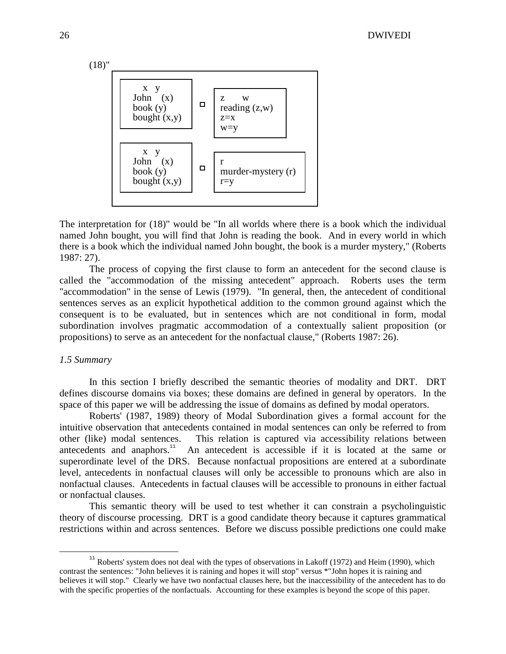

The interpretation for (18)" would be "In all worlds where there is a book which the individual named John bought, you will find that John is reading the book. And in every world in which there is a book which the individual named John bought, the book is a murder mystery," (Roberts 1987: 27).

 The process of copying the first clause to form an antecedent for the second clause is called the "accommodation of the missing antecedent" approach. Roberts uses the term "accommodation" in the sense of Lewis (1979). "In general, then, the antecedent of conditional sentences serves as an explicit hypothetical addition to the common ground against which the consequent is to be evaluated, but in sentences which are not conditional in form, modal subordination involves pragmatic accommodation of a contextually salient proposition (or propositions) to serve as an antecedent for the nonfactual clause," (Roberts 1987: 26).

#### *1.5 Summary*

-

 In this section I briefly described the semantic theories of modality and DRT. DRT defines discourse domains via boxes; these domains are defined in general by operators. In the space of this paper we will be addressing the issue of domains as defined by modal operators.

 Roberts' (1987, 1989) theory of Modal Subordination gives a formal account for the intuitive observation that antecedents contained in modal sentences can only be referred to from other (like) modal sentences. This relation is captured via accessibility relations between antecedents and anaphors.<sup>11</sup> An antecedent is accessible if it is located at the same or superordinate level of the DRS. Because nonfactual propositions are entered at a subordinate level, antecedents in nonfactual clauses will only be accessible to pronouns which are also in nonfactual clauses. Antecedents in factual clauses will be accessible to pronouns in either factual or nonfactual clauses.

 This semantic theory will be used to test whether it can constrain a psycholinguistic theory of discourse processing. DRT is a good candidate theory because it captures grammatical restrictions within and across sentences. Before we discuss possible predictions one could make

 $11$  Roberts' system does not deal with the types of observations in Lakoff (1972) and Heim (1990), which contrast the sentences: "John believes it is raining and hopes it will stop" versus \*"John hopes it is raining and believes it will stop." Clearly we have two nonfactual clauses here, but the inaccessibility of the antecedent has to do with the specific properties of the nonfactuals. Accounting for these examples is beyond the scope of this paper.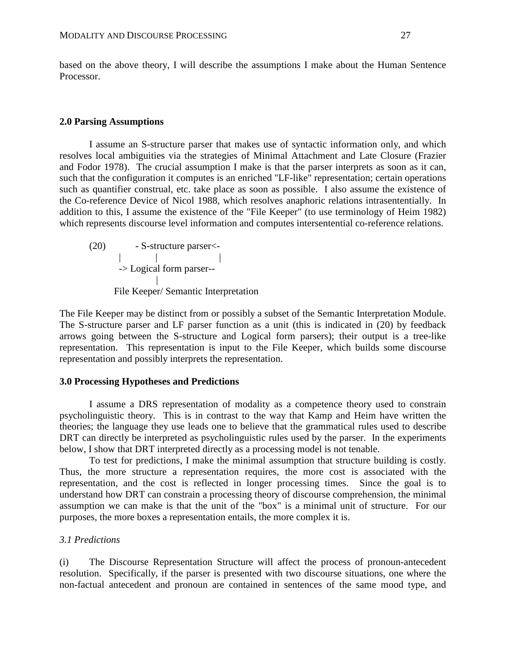based on the above theory, I will describe the assumptions I make about the Human Sentence Processor.

#### **2.0 Parsing Assumptions**

 I assume an S-structure parser that makes use of syntactic information only, and which resolves local ambiguities via the strategies of Minimal Attachment and Late Closure (Frazier and Fodor 1978). The crucial assumption I make is that the parser interprets as soon as it can, such that the configuration it computes is an enriched "LF-like" representation; certain operations such as quantifier construal, etc. take place as soon as possible. I also assume the existence of the Co-reference Device of Nicol 1988, which resolves anaphoric relations intrasententially. In addition to this, I assume the existence of the "File Keeper" (to use terminology of Heim 1982) which represents discourse level information and computes intersentential co-reference relations.

 (20) - S-structure parser<- | | | -> Logical form parser-- | File Keeper/ Semantic Interpretation

The File Keeper may be distinct from or possibly a subset of the Semantic Interpretation Module. The S-structure parser and LF parser function as a unit (this is indicated in (20) by feedback arrows going between the S-structure and Logical form parsers); their output is a tree-like representation. This representation is input to the File Keeper, which builds some discourse representation and possibly interprets the representation.

#### **3.0 Processing Hypotheses and Predictions**

 I assume a DRS representation of modality as a competence theory used to constrain psycholinguistic theory. This is in contrast to the way that Kamp and Heim have written the theories; the language they use leads one to believe that the grammatical rules used to describe DRT can directly be interpreted as psycholinguistic rules used by the parser. In the experiments below, I show that DRT interpreted directly as a processing model is not tenable.

 To test for predictions, I make the minimal assumption that structure building is costly. Thus, the more structure a representation requires, the more cost is associated with the representation, and the cost is reflected in longer processing times. Since the goal is to understand how DRT can constrain a processing theory of discourse comprehension, the minimal assumption we can make is that the unit of the "box" is a minimal unit of structure. For our purposes, the more boxes a representation entails, the more complex it is.

#### *3.1 Predictions*

(i) The Discourse Representation Structure will affect the process of pronoun-antecedent resolution. Specifically, if the parser is presented with two discourse situations, one where the non-factual antecedent and pronoun are contained in sentences of the same mood type, and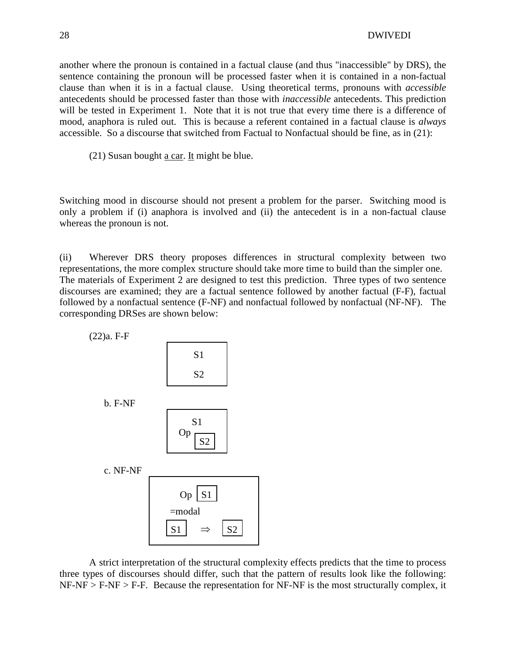another where the pronoun is contained in a factual clause (and thus "inaccessible" by DRS), the sentence containing the pronoun will be processed faster when it is contained in a non-factual clause than when it is in a factual clause. Using theoretical terms, pronouns with *accessible* antecedents should be processed faster than those with *inaccessible* antecedents. This prediction will be tested in Experiment 1. Note that it is not true that every time there is a difference of mood, anaphora is ruled out. This is because a referent contained in a factual clause is *always* accessible. So a discourse that switched from Factual to Nonfactual should be fine, as in (21):

(21) Susan bought a car. It might be blue.

Switching mood in discourse should not present a problem for the parser. Switching mood is only a problem if (i) anaphora is involved and (ii) the antecedent is in a non-factual clause whereas the pronoun is not.

(ii) Wherever DRS theory proposes differences in structural complexity between two representations, the more complex structure should take more time to build than the simpler one. The materials of Experiment 2 are designed to test this prediction. Three types of two sentence discourses are examined; they are a factual sentence followed by another factual (F-F), factual followed by a nonfactual sentence (F-NF) and nonfactual followed by nonfactual (NF-NF). The corresponding DRSes are shown below:



 A strict interpretation of the structural complexity effects predicts that the time to process three types of discourses should differ, such that the pattern of results look like the following:  $NF-NF > F-NF > F-F$ . Because the representation for NF-NF is the most structurally complex, it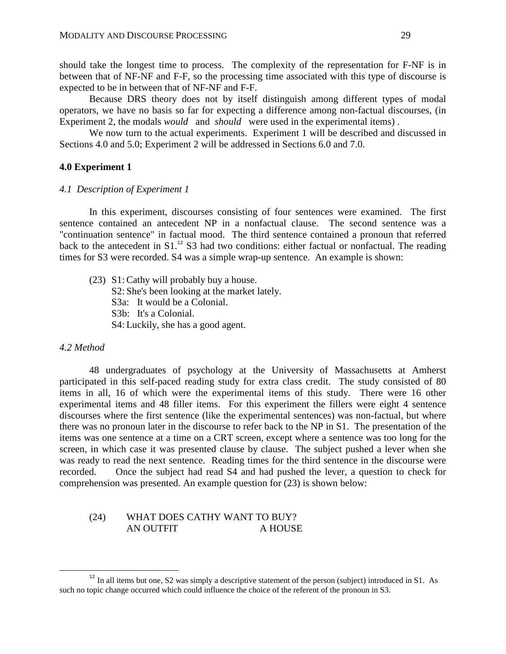should take the longest time to process. The complexity of the representation for F-NF is in between that of NF-NF and F-F, so the processing time associated with this type of discourse is expected to be in between that of NF-NF and F-F.

 Because DRS theory does not by itself distinguish among different types of modal operators, we have no basis so far for expecting a difference among non-factual discourses, (in Experiment 2, the modals *would* and *should* were used in the experimental items) .

We now turn to the actual experiments. Experiment 1 will be described and discussed in Sections 4.0 and 5.0; Experiment 2 will be addressed in Sections 6.0 and 7.0.

#### **4.0 Experiment 1**

#### *4.1 Description of Experiment 1*

 In this experiment, discourses consisting of four sentences were examined. The first sentence contained an antecedent NP in a nonfactual clause. The second sentence was a "continuation sentence" in factual mood. The third sentence contained a pronoun that referred back to the antecedent in  $S1$ .<sup>12</sup> S3 had two conditions: either factual or nonfactual. The reading times for S3 were recorded. S4 was a simple wrap-up sentence. An example is shown:

 (23) S1: Cathy will probably buy a house. S2: She's been looking at the market lately. S3a: It would be a Colonial. S3b: It's a Colonial. S4: Luckily, she has a good agent.

#### *4.2 Method*

-

 48 undergraduates of psychology at the University of Massachusetts at Amherst participated in this self-paced reading study for extra class credit. The study consisted of 80 items in all, 16 of which were the experimental items of this study. There were 16 other experimental items and 48 filler items. For this experiment the fillers were eight 4 sentence discourses where the first sentence (like the experimental sentences) was non-factual, but where there was no pronoun later in the discourse to refer back to the NP in S1. The presentation of the items was one sentence at a time on a CRT screen, except where a sentence was too long for the screen, in which case it was presented clause by clause. The subject pushed a lever when she was ready to read the next sentence. Reading times for the third sentence in the discourse were recorded. Once the subject had read S4 and had pushed the lever, a question to check for comprehension was presented. An example question for (23) is shown below:

#### (24) WHAT DOES CATHY WANT TO BUY? AN OUTFIT A HOUSE

 $12$  In all items but one, S2 was simply a descriptive statement of the person (subject) introduced in S1. As such no topic change occurred which could influence the choice of the referent of the pronoun in S3.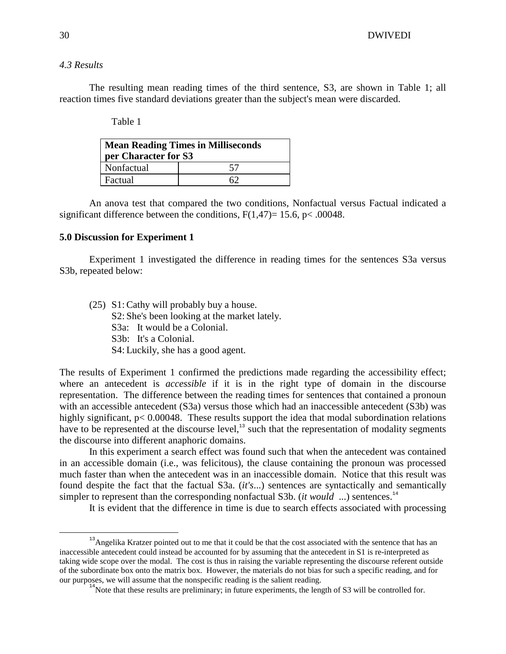## *4.3 Results*

 The resulting mean reading times of the third sentence, S3, are shown in Table 1; all reaction times five standard deviations greater than the subject's mean were discarded.

Table 1

| <b>Mean Reading Times in Milliseconds</b><br>per Character for S3 |    |  |  |  |  |  |
|-------------------------------------------------------------------|----|--|--|--|--|--|
| Nonfactual                                                        | 57 |  |  |  |  |  |
| Factual                                                           | 62 |  |  |  |  |  |

 An anova test that compared the two conditions, Nonfactual versus Factual indicated a significant difference between the conditions,  $F(1,47) = 15.6$ ,  $p < .00048$ .

#### **5.0 Discussion for Experiment 1**

 Experiment 1 investigated the difference in reading times for the sentences S3a versus S3b, repeated below:

 (25) S1: Cathy will probably buy a house. S2: She's been looking at the market lately. S3a: It would be a Colonial. S3b: It's a Colonial. S4: Luckily, she has a good agent.

The results of Experiment 1 confirmed the predictions made regarding the accessibility effect; where an antecedent is *accessible* if it is in the right type of domain in the discourse representation. The difference between the reading times for sentences that contained a pronoun with an accessible antecedent (S3a) versus those which had an inaccessible antecedent (S3b) was highly significant,  $p < 0.00048$ . These results support the idea that modal subordination relations have to be represented at the discourse level, $^{13}$  such that the representation of modality segments the discourse into different anaphoric domains.

 In this experiment a search effect was found such that when the antecedent was contained in an accessible domain (i.e., was felicitous), the clause containing the pronoun was processed much faster than when the antecedent was in an inaccessible domain. Notice that this result was found despite the fact that the factual S3a. (*it's*...) sentences are syntactically and semantically simpler to represent than the corresponding nonfactual S3b. (*it would* ...) sentences.<sup>14</sup>

It is evident that the difference in time is due to search effects associated with processing

<u>.</u>

<sup>&</sup>lt;sup>13</sup>Angelika Kratzer pointed out to me that it could be that the cost associated with the sentence that has an inaccessible antecedent could instead be accounted for by assuming that the antecedent in S1 is re-interpreted as taking wide scope over the modal. The cost is thus in raising the variable representing the discourse referent outside of the subordinate box onto the matrix box. However, the materials do not bias for such a specific reading, and for our purposes, we will assume that the nonspecific reading is the salient reading.

 $14$ Note that these results are preliminary; in future experiments, the length of S3 will be controlled for.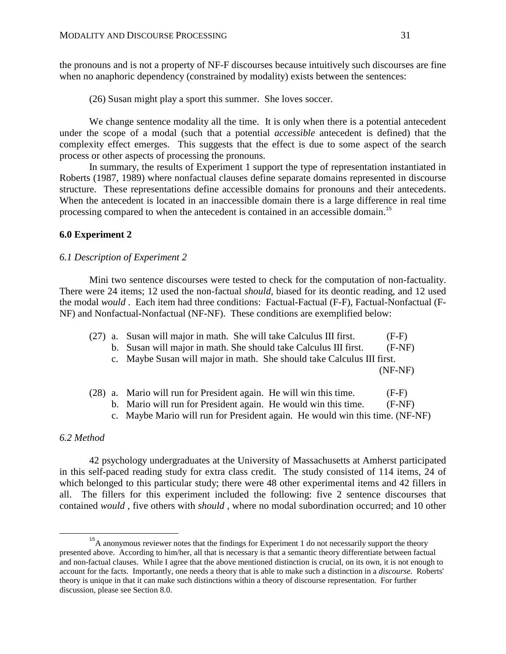the pronouns and is not a property of NF-F discourses because intuitively such discourses are fine when no anaphoric dependency (constrained by modality) exists between the sentences:

(26) Susan might play a sport this summer. She loves soccer.

We change sentence modality all the time. It is only when there is a potential antecedent under the scope of a modal (such that a potential *accessible* antecedent is defined) that the complexity effect emerges. This suggests that the effect is due to some aspect of the search process or other aspects of processing the pronouns.

 In summary, the results of Experiment 1 support the type of representation instantiated in Roberts (1987, 1989) where nonfactual clauses define separate domains represented in discourse structure. These representations define accessible domains for pronouns and their antecedents. When the antecedent is located in an inaccessible domain there is a large difference in real time processing compared to when the antecedent is contained in an accessible domain.<sup>15</sup>

#### **6.0 Experiment 2**

#### *6.1 Description of Experiment 2*

 Mini two sentence discourses were tested to check for the computation of non-factuality. There were 24 items; 12 used the non-factual *should*, biased for its deontic reading, and 12 used the modal *would* . Each item had three conditions: Factual-Factual (F-F), Factual-Nonfactual (F-NF) and Nonfactual-Nonfactual (NF-NF). These conditions are exemplified below:

| (27) a. Susan will major in math. She will take Calculus III first.    | $(F-F)$ |
|------------------------------------------------------------------------|---------|
| b. Susan will major in math. She should take Calculus III first.       | (F-NF)  |
| c. Maybe Susan will major in math. She should take Calculus III first. |         |

(NF-NF)

|  | (28) a. Mario will run for President again. He will win this time. |  |  |  |  |  | $(F-F)$              |
|--|--------------------------------------------------------------------|--|--|--|--|--|----------------------|
|  |                                                                    |  |  |  |  |  | $\sim$ $\sim$ $\sim$ |

- b. Mario will run for President again. He would win this time. (F-NF)
- c. Maybe Mario will run for President again. He would win this time. (NF-NF)

## *6.2 Method*

<u>.</u>

 42 psychology undergraduates at the University of Massachusetts at Amherst participated in this self-paced reading study for extra class credit. The study consisted of 114 items, 24 of which belonged to this particular study; there were 48 other experimental items and 42 fillers in all. The fillers for this experiment included the following: five 2 sentence discourses that contained *would* , five others with *should* , where no modal subordination occurred; and 10 other

<sup>&</sup>lt;sup>15</sup>A anonymous reviewer notes that the findings for Experiment 1 do not necessarily support the theory presented above. According to him/her, all that is necessary is that a semantic theory differentiate between factual and non-factual clauses. While I agree that the above mentioned distinction is crucial, on its own, it is not enough to account for the facts. Importantly, one needs a theory that is able to make such a distinction in a *discourse*. Roberts' theory is unique in that it can make such distinctions within a theory of discourse representation. For further discussion, please see Section 8.0.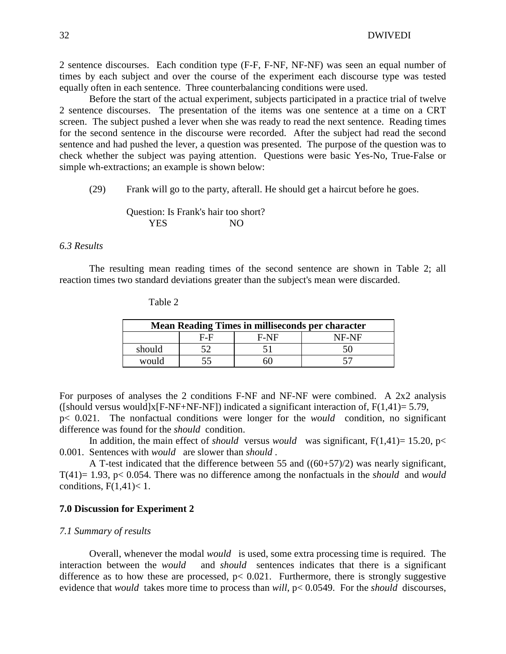2 sentence discourses. Each condition type (F-F, F-NF, NF-NF) was seen an equal number of times by each subject and over the course of the experiment each discourse type was tested equally often in each sentence. Three counterbalancing conditions were used.

 Before the start of the actual experiment, subjects participated in a practice trial of twelve 2 sentence discourses. The presentation of the items was one sentence at a time on a CRT screen. The subject pushed a lever when she was ready to read the next sentence. Reading times for the second sentence in the discourse were recorded. After the subject had read the second sentence and had pushed the lever, a question was presented. The purpose of the question was to check whether the subject was paying attention. Questions were basic Yes-No, True-False or simple wh-extractions; an example is shown below:

(29) Frank will go to the party, afterall. He should get a haircut before he goes.

### Question: Is Frank's hair too short? YES NO

### *6.3 Results*

 The resulting mean reading times of the second sentence are shown in Table 2; all reaction times two standard deviations greater than the subject's mean were discarded.

| <b>Mean Reading Times in milliseconds per character</b> |     |        |       |  |  |  |  |  |
|---------------------------------------------------------|-----|--------|-------|--|--|--|--|--|
|                                                         | E-E | $F-NF$ | NF-NF |  |  |  |  |  |
| should                                                  |     |        |       |  |  |  |  |  |
| would                                                   |     | ו ור   |       |  |  |  |  |  |

Table 2

For purposes of analyses the 2 conditions F-NF and NF-NF were combined. A 2x2 analysis ([should versus would]x[F-NF+NF-NF]) indicated a significant interaction of,  $F(1,41)= 5.79$ ,

p< 0.021. The nonfactual conditions were longer for the *would* condition, no significant difference was found for the *should* condition.

In addition, the main effect of *should* versus *would* was significant,  $F(1,41) = 15.20$ ,  $p \le$ 0.001. Sentences with *would* are slower than *should* .

 A T-test indicated that the difference between 55 and ((60+57)/2) was nearly significant, T(41)= 1.93, p< 0.054. There was no difference among the nonfactuals in the *should* and *would*  conditions,  $F(1,41) < 1$ .

#### **7.0 Discussion for Experiment 2**

#### *7.1 Summary of results*

 Overall, whenever the modal *would* is used, some extra processing time is required. The interaction between the *would* and *should* sentences indicates that there is a significant difference as to how these are processed,  $p < 0.021$ . Furthermore, there is strongly suggestive evidence that *would* takes more time to process than *will*, p< 0.0549. For the *should* discourses,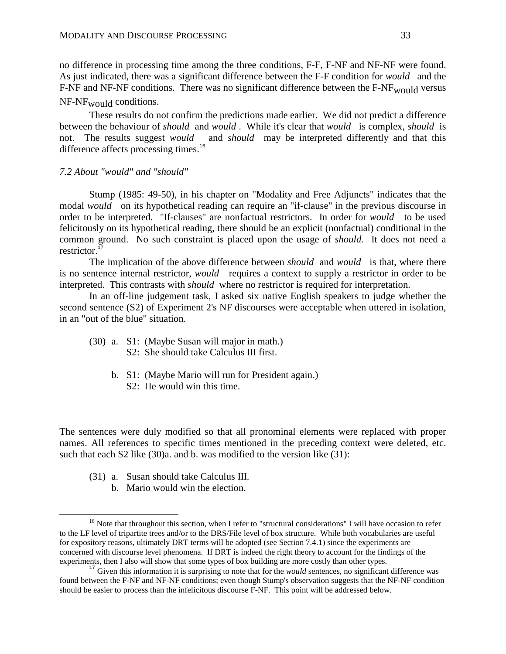no difference in processing time among the three conditions, F-F, F-NF and NF-NF were found. As just indicated, there was a significant difference between the F-F condition for *would* and the F-NF and NF-NF conditions. There was no significant difference between the  $F-NF_{\text{would}}$  versus NF-NF<sub>would</sub> conditions.

 These results do not confirm the predictions made earlier. We did not predict a difference between the behaviour of *should* and *would* . While it's clear that *would* is complex, *should* is not. The results suggest *would* and *should* may be interpreted differently and that this difference affects processing times.<sup>16</sup>

#### *7.2 About "would" and "should"*

 Stump (1985: 49-50), in his chapter on "Modality and Free Adjuncts" indicates that the modal *would* on its hypothetical reading can require an "if-clause" in the previous discourse in order to be interpreted. "If-clauses" are nonfactual restrictors. In order for *would* to be used felicitously on its hypothetical reading, there should be an explicit (nonfactual) conditional in the common ground. No such constraint is placed upon the usage of *should.* It does not need a restrictor. $1$ 

 The implication of the above difference between *should* and *would* is that, where there is no sentence internal restrictor, *would* requires a context to supply a restrictor in order to be interpreted. This contrasts with *should* where no restrictor is required for interpretation.

 In an off-line judgement task, I asked six native English speakers to judge whether the second sentence (S2) of Experiment 2's NF discourses were acceptable when uttered in isolation, in an "out of the blue" situation.

- (30) a. S1: (Maybe Susan will major in math.) S2: She should take Calculus III first.
	- b. S1: (Maybe Mario will run for President again.)
		- S2: He would win this time.

The sentences were duly modified so that all pronominal elements were replaced with proper names. All references to specific times mentioned in the preceding context were deleted, etc. such that each S2 like (30)a. and b. was modified to the version like (31):

(31) a. Susan should take Calculus III.

<u>.</u>

b. Mario would win the election.

<sup>&</sup>lt;sup>16</sup> Note that throughout this section, when I refer to "structural considerations" I will have occasion to refer to the LF level of tripartite trees and/or to the DRS/File level of box structure. While both vocabularies are useful for expository reasons, ultimately DRT terms will be adopted (see Section 7.4.1) since the experiments are concerned with discourse level phenomena. If DRT is indeed the right theory to account for the findings of the experiments, then I also will show that some types of box building are more costly than other types.

<sup>&</sup>lt;sup>17</sup> Given this information it is surprising to note that for the *would* sentences, no significant difference was found between the F-NF and NF-NF conditions; even though Stump's observation suggests that the NF-NF condition should be easier to process than the infelicitous discourse F-NF. This point will be addressed below.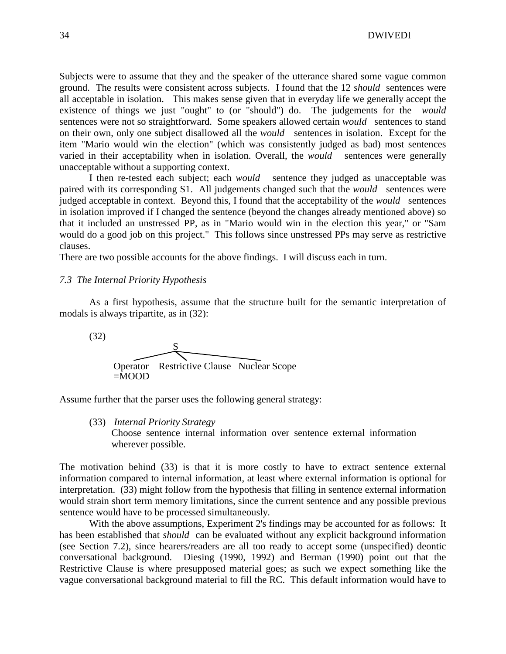34 DWIVEDI

Subjects were to assume that they and the speaker of the utterance shared some vague common ground. The results were consistent across subjects. I found that the 12 *should* sentences were all acceptable in isolation. This makes sense given that in everyday life we generally accept the existence of things we just "ought" to (or "should") do. The judgements for the *would*  sentences were not so straightforward. Some speakers allowed certain *would* sentences to stand on their own, only one subject disallowed all the *would* sentences in isolation. Except for the item "Mario would win the election" (which was consistently judged as bad) most sentences varied in their acceptability when in isolation. Overall, the *would* sentences were generally unacceptable without a supporting context.

 I then re-tested each subject; each *would* sentence they judged as unacceptable was paired with its corresponding S1. All judgements changed such that the *would* sentences were judged acceptable in context. Beyond this, I found that the acceptability of the *would* sentences in isolation improved if I changed the sentence (beyond the changes already mentioned above) so that it included an unstressed PP, as in "Mario would win in the election this year," or "Sam would do a good job on this project." This follows since unstressed PPs may serve as restrictive clauses.

There are two possible accounts for the above findings. I will discuss each in turn.

#### *7.3 The Internal Priority Hypothesis*

 As a first hypothesis, assume that the structure built for the semantic interpretation of modals is always tripartite, as in (32):



Assume further that the parser uses the following general strategy:

(33) *Internal Priority Strategy*

 Choose sentence internal information over sentence external information wherever possible.

The motivation behind (33) is that it is more costly to have to extract sentence external information compared to internal information, at least where external information is optional for interpretation. (33) might follow from the hypothesis that filling in sentence external information would strain short term memory limitations, since the current sentence and any possible previous sentence would have to be processed simultaneously.

 With the above assumptions, Experiment 2's findings may be accounted for as follows: It has been established that *should* can be evaluated without any explicit background information (see Section 7.2), since hearers/readers are all too ready to accept some (unspecified) deontic conversational background. Diesing (1990, 1992) and Berman (1990) point out that the Restrictive Clause is where presupposed material goes; as such we expect something like the vague conversational background material to fill the RC. This default information would have to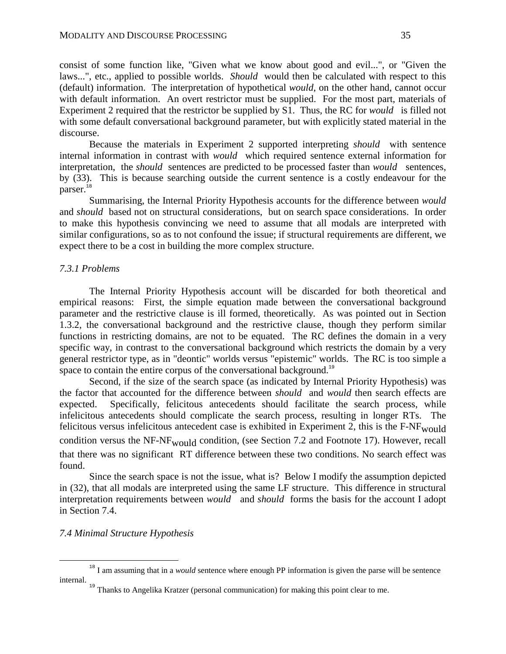consist of some function like, "Given what we know about good and evil...", or "Given the laws...", etc., applied to possible worlds. *Should* would then be calculated with respect to this (default) information. The interpretation of hypothetical *would*, on the other hand, cannot occur with default information. An overt restrictor must be supplied. For the most part, materials of Experiment 2 required that the restrictor be supplied by S1. Thus, the RC for *would* is filled not with some default conversational background parameter, but with explicitly stated material in the discourse.

 Because the materials in Experiment 2 supported interpreting *should* with sentence internal information in contrast with *would* which required sentence external information for interpretation, the *should* sentences are predicted to be processed faster than *would* sentences, by (33). This is because searching outside the current sentence is a costly endeavour for the parser.<sup>18</sup>

 Summarising, the Internal Priority Hypothesis accounts for the difference between *would*  and *should* based not on structural considerations, but on search space considerations. In order to make this hypothesis convincing we need to assume that all modals are interpreted with similar configurations, so as to not confound the issue; if structural requirements are different, we expect there to be a cost in building the more complex structure.

#### *7.3.1 Problems*

 The Internal Priority Hypothesis account will be discarded for both theoretical and empirical reasons: First, the simple equation made between the conversational background parameter and the restrictive clause is ill formed, theoretically. As was pointed out in Section 1.3.2, the conversational background and the restrictive clause, though they perform similar functions in restricting domains, are not to be equated. The RC defines the domain in a very specific way, in contrast to the conversational background which restricts the domain by a very general restrictor type, as in "deontic" worlds versus "epistemic" worlds. The RC is too simple a space to contain the entire corpus of the conversational background.<sup>19</sup>

 Second, if the size of the search space (as indicated by Internal Priority Hypothesis) was the factor that accounted for the difference between *should* and *would* then search effects are expected. Specifically, felicitous antecedents should facilitate the search process, while infelicitous antecedents should complicate the search process, resulting in longer RTs. The felicitous versus infelicitous antecedent case is exhibited in Experiment 2, this is the  $F-NF_{\text{woul}}$ condition versus the NF-NF<sub>would</sub> condition, (see Section 7.2 and Footnote 17). However, recall that there was no significant RT difference between these two conditions. No search effect was found.

 Since the search space is not the issue, what is? Below I modify the assumption depicted in (32), that all modals are interpreted using the same LF structure. This difference in structural interpretation requirements between *would* and *should* forms the basis for the account I adopt in Section 7.4.

#### *7.4 Minimal Structure Hypothesis*

<u>.</u>

<sup>&</sup>lt;sup>18</sup> I am assuming that in a *would* sentence where enough PP information is given the parse will be sentence internal.

<sup>&</sup>lt;sup>19</sup> Thanks to Angelika Kratzer (personal communication) for making this point clear to me.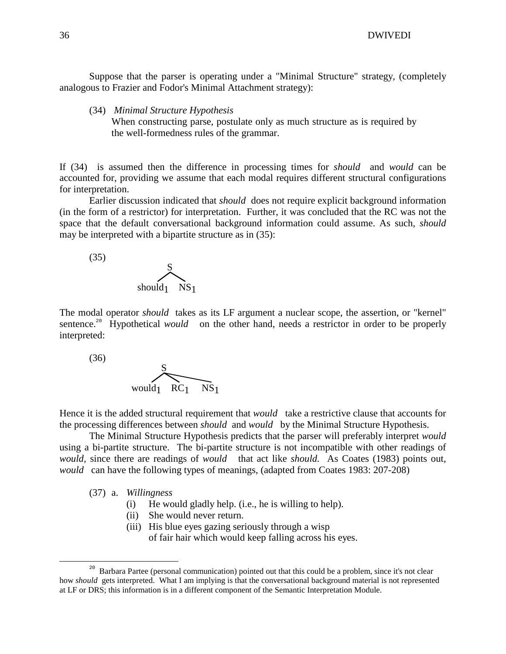Suppose that the parser is operating under a "Minimal Structure" strategy, (completely analogous to Frazier and Fodor's Minimal Attachment strategy):

(34) *Minimal Structure Hypothesis*

 When constructing parse, postulate only as much structure as is required by the well-formedness rules of the grammar.

If (34) is assumed then the difference in processing times for *should* and *would* can be accounted for, providing we assume that each modal requires different structural configurations for interpretation.

 Earlier discussion indicated that *should* does not require explicit background information (in the form of a restrictor) for interpretation. Further, it was concluded that the RC was not the space that the default conversational background information could assume. As such, *should*  may be interpreted with a bipartite structure as in (35):

 (35) S should<sub>1</sub> NS<sub>1</sub>

The modal operator *should* takes as its LF argument a nuclear scope, the assertion, or "kernel" sentence.<sup>20</sup> Hypothetical *would* on the other hand, needs a restrictor in order to be properly interpreted:

 (36) S would $_1$  RC<sub>1</sub> NS<sub>1</sub>

Hence it is the added structural requirement that *would* take a restrictive clause that accounts for the processing differences between *should* and *would* by the Minimal Structure Hypothesis.

 The Minimal Structure Hypothesis predicts that the parser will preferably interpret *would*  using a bi-partite structure. The bi-partite structure is not incompatible with other readings of *would,* since there are readings of *would* that act like *should.* As Coates (1983) points out, *would* can have the following types of meanings, (adapted from Coates 1983: 207-208)

(37) a. *Willingness*

 $\overline{a}$ 

- (i) He would gladly help. (i.e., he is willing to help).
- (ii) She would never return.
- (iii) His blue eyes gazing seriously through a wisp of fair hair which would keep falling across his eyes.

<sup>&</sup>lt;sup>20</sup> Barbara Partee (personal communication) pointed out that this could be a problem, since it's not clear how *should* gets interpreted. What I am implying is that the conversational background material is not represented at LF or DRS; this information is in a different component of the Semantic Interpretation Module.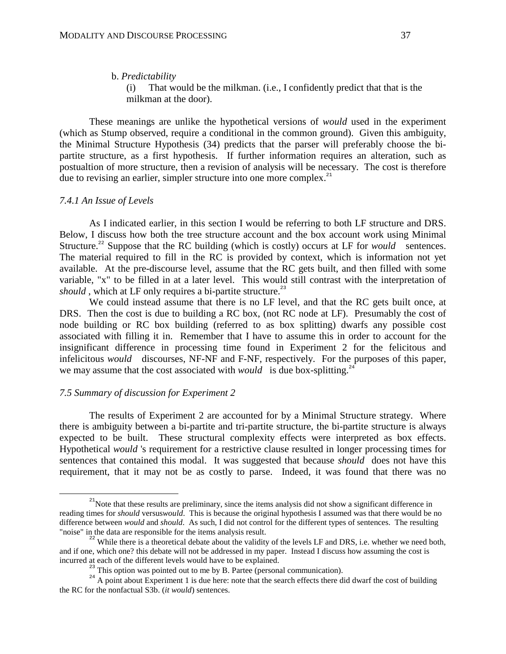#### b. *Predictability*

 (i) That would be the milkman. (i.e., I confidently predict that that is the milkman at the door).

 These meanings are unlike the hypothetical versions of *would* used in the experiment (which as Stump observed, require a conditional in the common ground). Given this ambiguity, the Minimal Structure Hypothesis (34) predicts that the parser will preferably choose the bipartite structure, as a first hypothesis. If further information requires an alteration, such as postualtion of more structure, then a revision of analysis will be necessary. The cost is therefore due to revising an earlier, simpler structure into one more complex.<sup>21</sup>

#### *7.4.1 An Issue of Levels*

 $\overline{a}$ 

 As I indicated earlier, in this section I would be referring to both LF structure and DRS. Below, I discuss how both the tree structure account and the box account work using Minimal Structure.<sup>22</sup> Suppose that the RC building (which is costly) occurs at LF for *would* sentences. The material required to fill in the RC is provided by context, which is information not yet available. At the pre-discourse level, assume that the RC gets built, and then filled with some variable, "x" to be filled in at a later level. This would still contrast with the interpretation of *should*, which at LF only requires a bi-partite structure.<sup>23</sup>

 We could instead assume that there is no LF level, and that the RC gets built once, at DRS. Then the cost is due to building a RC box, (not RC node at LF). Presumably the cost of node building or RC box building (referred to as box splitting) dwarfs any possible cost associated with filling it in. Remember that I have to assume this in order to account for the insignificant difference in processing time found in Experiment 2 for the felicitous and infelicitous *would* discourses, NF-NF and F-NF, respectively. For the purposes of this paper, we may assume that the cost associated with *would* is due box-splitting.<sup>24</sup>

#### *7.5 Summary of discussion for Experiment 2*

 The results of Experiment 2 are accounted for by a Minimal Structure strategy. Where there is ambiguity between a bi-partite and tri-partite structure, the bi-partite structure is always expected to be built. These structural complexity effects were interpreted as box effects. Hypothetical *would* 's requirement for a restrictive clause resulted in longer processing times for sentences that contained this modal. It was suggested that because *should* does not have this requirement, that it may not be as costly to parse. Indeed, it was found that there was no

 $2<sup>21</sup>$ Note that these results are preliminary, since the items analysis did not show a significant difference in reading times for *should* versus*would*. This is because the original hypothesis I assumed was that there would be no difference between *would* and *should*. As such, I did not control for the different types of sentences. The resulting "noise" in the data are responsible for the items analysis result.

<sup>&</sup>lt;sup>22</sup> While there is a theoretical debate about the validity of the levels LF and DRS, i.e. whether we need both, and if one, which one? this debate will not be addressed in my paper. Instead I discuss how assuming the cost is incurred at each of the different levels would have to be explained.

 $23$ <sup>23</sup> This option was pointed out to me by B. Partee (personal communication).

<sup>&</sup>lt;sup>24</sup> A point about Experiment 1 is due here: note that the search effects there did dwarf the cost of building the RC for the nonfactual S3b. (*it would*) sentences.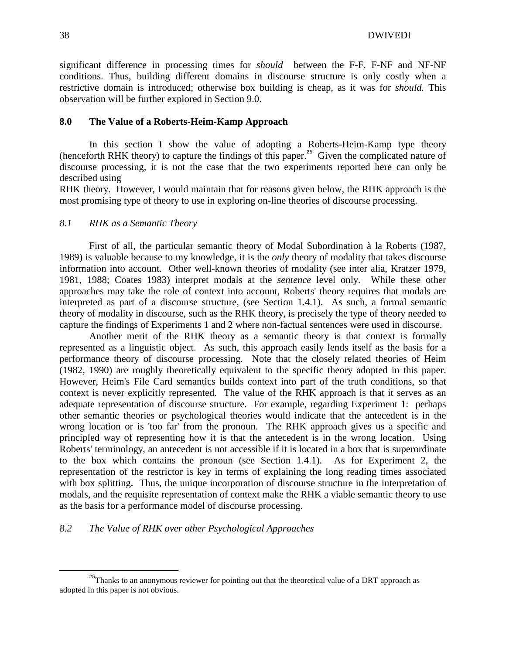significant difference in processing times for *should* between the F-F, F-NF and NF-NF conditions. Thus, building different domains in discourse structure is only costly when a restrictive domain is introduced; otherwise box building is cheap, as it was for *should.* This observation will be further explored in Section 9.0.

#### **8.0 The Value of a Roberts-Heim-Kamp Approach**

 In this section I show the value of adopting a Roberts-Heim-Kamp type theory (henceforth RHK theory) to capture the findings of this paper.<sup>25</sup> Given the complicated nature of discourse processing, it is not the case that the two experiments reported here can only be described using

RHK theory. However, I would maintain that for reasons given below, the RHK approach is the most promising type of theory to use in exploring on-line theories of discourse processing.

### *8.1 RHK as a Semantic Theory*

 First of all, the particular semantic theory of Modal Subordination à la Roberts (1987, 1989) is valuable because to my knowledge, it is the *only* theory of modality that takes discourse information into account. Other well-known theories of modality (see inter alia, Kratzer 1979, 1981, 1988; Coates 1983) interpret modals at the *sentence* level only. While these other approaches may take the role of context into account, Roberts' theory requires that modals are interpreted as part of a discourse structure, (see Section 1.4.1). As such, a formal semantic theory of modality in discourse, such as the RHK theory, is precisely the type of theory needed to capture the findings of Experiments 1 and 2 where non-factual sentences were used in discourse.

 Another merit of the RHK theory as a semantic theory is that context is formally represented as a linguistic object. As such, this approach easily lends itself as the basis for a performance theory of discourse processing. Note that the closely related theories of Heim (1982, 1990) are roughly theoretically equivalent to the specific theory adopted in this paper. However, Heim's File Card semantics builds context into part of the truth conditions, so that context is never explicitly represented. The value of the RHK approach is that it serves as an adequate representation of discourse structure. For example, regarding Experiment 1: perhaps other semantic theories or psychological theories would indicate that the antecedent is in the wrong location or is 'too far' from the pronoun. The RHK approach gives us a specific and principled way of representing how it is that the antecedent is in the wrong location. Using Roberts' terminology, an antecedent is not accessible if it is located in a box that is superordinate to the box which contains the pronoun (see Section 1.4.1). As for Experiment 2, the representation of the restrictor is key in terms of explaining the long reading times associated with box splitting. Thus, the unique incorporation of discourse structure in the interpretation of modals, and the requisite representation of context make the RHK a viable semantic theory to use as the basis for a performance model of discourse processing.

#### *8.2 The Value of RHK over other Psychological Approaches*

-

<sup>&</sup>lt;sup>25</sup>Thanks to an anonymous reviewer for pointing out that the theoretical value of a DRT approach as adopted in this paper is not obvious.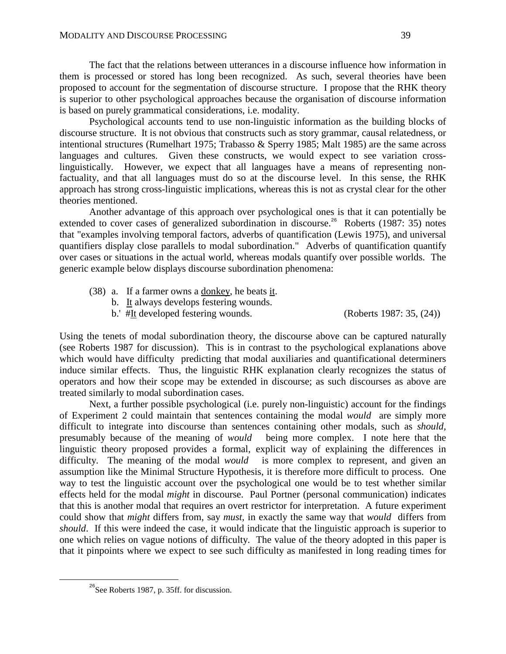The fact that the relations between utterances in a discourse influence how information in them is processed or stored has long been recognized. As such, several theories have been proposed to account for the segmentation of discourse structure. I propose that the RHK theory is superior to other psychological approaches because the organisation of discourse information is based on purely grammatical considerations, i.e. modality.

 Psychological accounts tend to use non-linguistic information as the building blocks of discourse structure. It is not obvious that constructs such as story grammar, causal relatedness, or intentional structures (Rumelhart 1975; Trabasso & Sperry 1985; Malt 1985) are the same across languages and cultures. Given these constructs, we would expect to see variation crosslinguistically. However, we expect that all languages have a means of representing nonfactuality, and that all languages must do so at the discourse level. In this sense, the RHK approach has strong cross-linguistic implications, whereas this is not as crystal clear for the other theories mentioned.

 Another advantage of this approach over psychological ones is that it can potentially be extended to cover cases of generalized subordination in discourse.<sup>26</sup> Roberts (1987: 35) notes that "examples involving temporal factors, adverbs of quantification (Lewis 1975), and universal quantifiers display close parallels to modal subordination." Adverbs of quantification quantify over cases or situations in the actual world, whereas modals quantify over possible worlds. The generic example below displays discourse subordination phenomena:

- (38) a. If a farmer owns a donkey, he beats it.
	- b. It always develops festering wounds.
	- b.' #It developed festering wounds. (Roberts 1987: 35, (24))

Using the tenets of modal subordination theory, the discourse above can be captured naturally (see Roberts 1987 for discussion). This is in contrast to the psychological explanations above which would have difficulty predicting that modal auxiliaries and quantificational determiners induce similar effects. Thus, the linguistic RHK explanation clearly recognizes the status of operators and how their scope may be extended in discourse; as such discourses as above are treated similarly to modal subordination cases.

 Next, a further possible psychological (i.e. purely non-linguistic) account for the findings of Experiment 2 could maintain that sentences containing the modal *would* are simply more difficult to integrate into discourse than sentences containing other modals, such as *should,*  presumably because of the meaning of *would* being more complex. I note here that the linguistic theory proposed provides a formal, explicit way of explaining the differences in difficulty. The meaning of the modal *would* is more complex to represent, and given an assumption like the Minimal Structure Hypothesis, it is therefore more difficult to process. One way to test the linguistic account over the psychological one would be to test whether similar effects held for the modal *might* in discourse. Paul Portner (personal communication) indicates that this is another modal that requires an overt restrictor for interpretation. A future experiment could show that *might* differs from, say *must,* in exactly the same way that *would* differs from *should*. If this were indeed the case, it would indicate that the linguistic approach is superior to one which relies on vague notions of difficulty. The value of the theory adopted in this paper is that it pinpoints where we expect to see such difficulty as manifested in long reading times for

-

<sup>&</sup>lt;sup>26</sup>See Roberts 1987, p. 35ff. for discussion.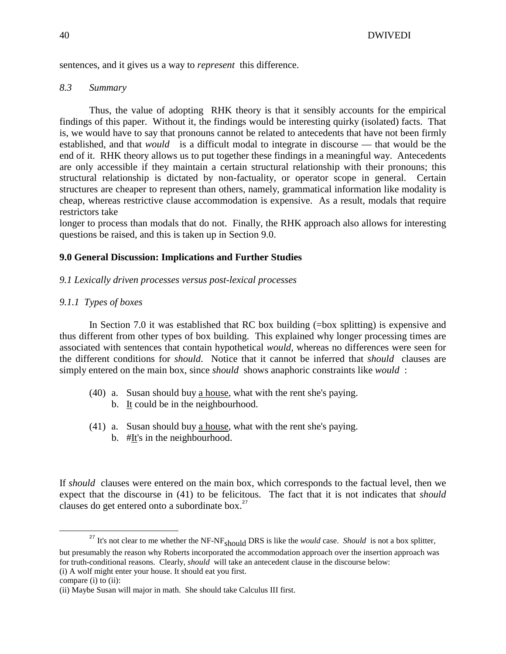sentences, and it gives us a way to *represent* this difference.

## *8.3 Summary*

 Thus, the value of adopting RHK theory is that it sensibly accounts for the empirical findings of this paper. Without it, the findings would be interesting quirky (isolated) facts. That is, we would have to say that pronouns cannot be related to antecedents that have not been firmly established, and that *would* is a difficult modal to integrate in discourse — that would be the end of it. RHK theory allows us to put together these findings in a meaningful way. Antecedents are only accessible if they maintain a certain structural relationship with their pronouns; this structural relationship is dictated by non-factuality, or operator scope in general. Certain structures are cheaper to represent than others, namely, grammatical information like modality is cheap, whereas restrictive clause accommodation is expensive. As a result, modals that require restrictors take

longer to process than modals that do not. Finally, the RHK approach also allows for interesting questions be raised, and this is taken up in Section 9.0.

## **9.0 General Discussion: Implications and Further Studies**

## *9.1 Lexically driven processes versus post-lexical processes*

## *9.1.1 Types of boxes*

In Section 7.0 it was established that RC box building (=box splitting) is expensive and thus different from other types of box building. This explained why longer processing times are associated with sentences that contain hypothetical *would*, whereas no differences were seen for the different conditions for *should*. Notice that it cannot be inferred that *should* clauses are simply entered on the main box, since *should* shows anaphoric constraints like *would* :

- (40) a. Susan should buy a house, what with the rent she's paying. b. It could be in the neighbourhood.
- (41) a. Susan should buy a house, what with the rent she's paying.
	- b. #It's in the neighbourhood.

If *should* clauses were entered on the main box, which corresponds to the factual level, then we expect that the discourse in (41) to be felicitous. The fact that it is not indicates that *should*  clauses do get entered onto a subordinate box. $27$ 

(i) A wolf might enter your house. It should eat you first.

<u>.</u>

<sup>&</sup>lt;sup>27</sup> It's not clear to me whether the NF-NF<sub>should</sub> DRS is like the *would* case. *Should* is not a box splitter,

but presumably the reason why Roberts incorporated the accommodation approach over the insertion approach was for truth-conditional reasons. Clearly, *should* will take an antecedent clause in the discourse below:

compare (i) to (ii):

<sup>(</sup>ii) Maybe Susan will major in math. She should take Calculus III first.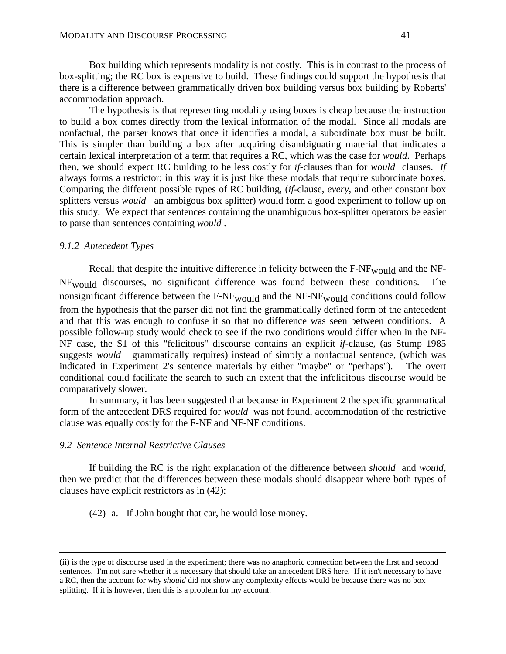Box building which represents modality is not costly. This is in contrast to the process of box-splitting; the RC box is expensive to build. These findings could support the hypothesis that there is a difference between grammatically driven box building versus box building by Roberts' accommodation approach.

 The hypothesis is that representing modality using boxes is cheap because the instruction to build a box comes directly from the lexical information of the modal. Since all modals are nonfactual, the parser knows that once it identifies a modal, a subordinate box must be built. This is simpler than building a box after acquiring disambiguating material that indicates a certain lexical interpretation of a term that requires a RC, which was the case for *would*. Perhaps then, we should expect RC building to be less costly for *if*-clauses than for *would* clauses. *If* always forms a restrictor; in this way it is just like these modals that require subordinate boxes. Comparing the different possible types of RC building, (*if*-clause, *every*, and other constant box splitters versus *would* an ambigous box splitter) would form a good experiment to follow up on this study. We expect that sentences containing the unambiguous box-splitter operators be easier to parse than sentences containing *would* .

#### *9.1.2 Antecedent Types*

Recall that despite the intuitive difference in felicity between the F-NF<sub>would</sub> and the NF-NFwould discourses, no significant difference was found between these conditions. The nonsignificant difference between the  $F-NF_{\text{would}}$  and the  $NF-NF_{\text{would}}$  conditions could follow from the hypothesis that the parser did not find the grammatically defined form of the antecedent and that this was enough to confuse it so that no difference was seen between conditions. A possible follow-up study would check to see if the two conditions would differ when in the NF-NF case, the S1 of this "felicitous" discourse contains an explicit *if*-clause, (as Stump 1985 suggests *would* grammatically requires) instead of simply a nonfactual sentence, (which was indicated in Experiment 2's sentence materials by either "maybe" or "perhaps"). The overt conditional could facilitate the search to such an extent that the infelicitous discourse would be comparatively slower.

 In summary, it has been suggested that because in Experiment 2 the specific grammatical form of the antecedent DRS required for *would* was not found, accommodation of the restrictive clause was equally costly for the F-NF and NF-NF conditions.

#### *9.2 Sentence Internal Restrictive Clauses*

-

 If building the RC is the right explanation of the difference between *should* and *would,* then we predict that the differences between these modals should disappear where both types of clauses have explicit restrictors as in (42):

(42) a. If John bought that car, he would lose money.

<sup>(</sup>ii) is the type of discourse used in the experiment; there was no anaphoric connection between the first and second sentences. I'm not sure whether it is necessary that should take an antecedent DRS here. If it isn't necessary to have a RC, then the account for why *should* did not show any complexity effects would be because there was no box splitting. If it is however, then this is a problem for my account.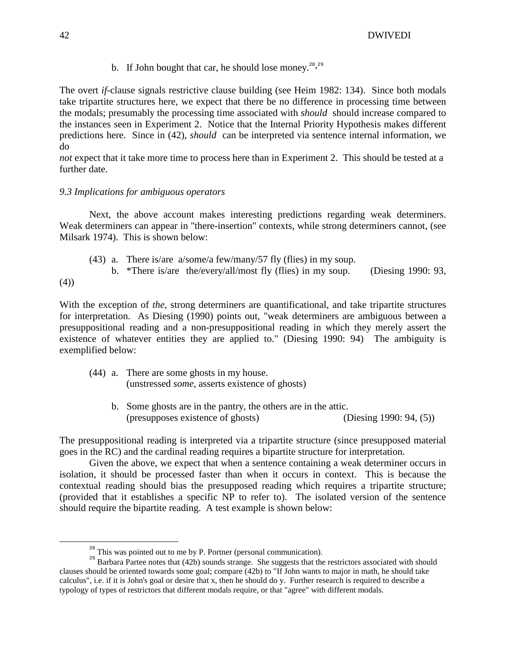b. If John bought that car, he should lose money.<sup>28, 29</sup>

The overt *if*-clause signals restrictive clause building (see Heim 1982: 134). Since both modals take tripartite structures here, we expect that there be no difference in processing time between the modals; presumably the processing time associated with *should* should increase compared to the instances seen in Experiment 2. Notice that the Internal Priority Hypothesis makes different predictions here. Since in (42), *should* can be interpreted via sentence internal information, we do

*not* expect that it take more time to process here than in Experiment 2. This should be tested at a further date.

## *9.3 Implications for ambiguous operators*

 Next, the above account makes interesting predictions regarding weak determiners. Weak determiners can appear in "there-insertion" contexts, while strong determiners cannot, (see Milsark 1974). This is shown below:

 (43) a. There is/are a/some/a few/many/57 fly (flies) in my soup. b. \*There is/are the/every/all/most fly (flies) in my soup. (Diesing 1990: 93,

(4))

<u>.</u>

With the exception of *the*, strong determiners are quantificational, and take tripartite structures for interpretation. As Diesing (1990) points out, "weak determiners are ambiguous between a presuppositional reading and a non-presuppositional reading in which they merely assert the existence of whatever entities they are applied to." (Diesing 1990: 94) The ambiguity is exemplified below:

- (44) a. There are some ghosts in my house. (unstressed *some,* asserts existence of ghosts)
	- b. Some ghosts are in the pantry, the others are in the attic. (presupposes existence of ghosts) (Diesing 1990: 94, (5))

The presuppositional reading is interpreted via a tripartite structure (since presupposed material goes in the RC) and the cardinal reading requires a bipartite structure for interpretation.

 Given the above, we expect that when a sentence containing a weak determiner occurs in isolation, it should be processed faster than when it occurs in context. This is because the contextual reading should bias the presupposed reading which requires a tripartite structure; (provided that it establishes a specific NP to refer to). The isolated version of the sentence should require the bipartite reading. A test example is shown below:

 $28$ <sup>28</sup> This was pointed out to me by P. Portner (personal communication).

<sup>&</sup>lt;sup>29</sup> Barbara Partee notes that (42b) sounds strange. She suggests that the restrictors associated with should clauses should be oriented towards some goal; compare (42b) to "If John wants to major in math, he should take calculus", i.e. if it is John's goal or desire that x, then he should do y. Further research is required to describe a typology of types of restrictors that different modals require, or that "agree" with different modals.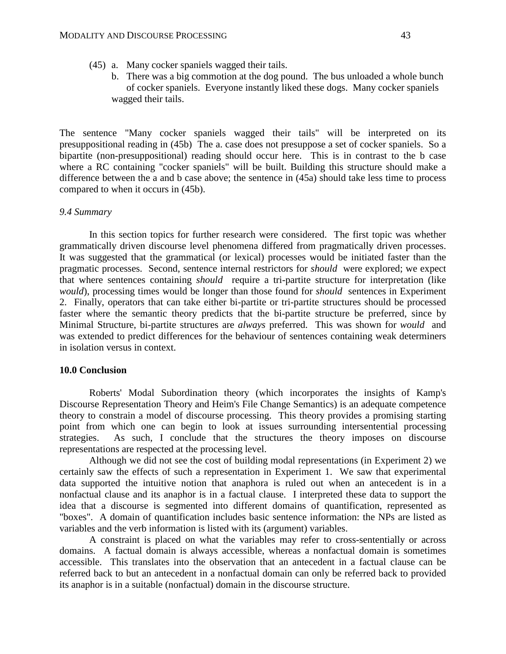- (45) a. Many cocker spaniels wagged their tails.
	- b. There was a big commotion at the dog pound. The bus unloaded a whole bunch of cocker spaniels. Everyone instantly liked these dogs. Many cocker spaniels wagged their tails.

The sentence "Many cocker spaniels wagged their tails" will be interpreted on its presuppositional reading in (45b) The a. case does not presuppose a set of cocker spaniels. So a bipartite (non-presuppositional) reading should occur here. This is in contrast to the b case where a RC containing "cocker spaniels" will be built. Building this structure should make a difference between the a and b case above; the sentence in (45a) should take less time to process compared to when it occurs in (45b).

#### *9.4 Summary*

 In this section topics for further research were considered. The first topic was whether grammatically driven discourse level phenomena differed from pragmatically driven processes. It was suggested that the grammatical (or lexical) processes would be initiated faster than the pragmatic processes. Second, sentence internal restrictors for *should* were explored; we expect that where sentences containing *should* require a tri-partite structure for interpretation (like *would*), processing times would be longer than those found for *should* sentences in Experiment 2. Finally, operators that can take either bi-partite or tri-partite structures should be processed faster where the semantic theory predicts that the bi-partite structure be preferred, since by Minimal Structure, bi-partite structures are *always* preferred. This was shown for *would* and was extended to predict differences for the behaviour of sentences containing weak determiners in isolation versus in context.

#### **10.0 Conclusion**

 Roberts' Modal Subordination theory (which incorporates the insights of Kamp's Discourse Representation Theory and Heim's File Change Semantics) is an adequate competence theory to constrain a model of discourse processing. This theory provides a promising starting point from which one can begin to look at issues surrounding intersentential processing strategies. As such, I conclude that the structures the theory imposes on discourse representations are respected at the processing level.

 Although we did not see the cost of building modal representations (in Experiment 2) we certainly saw the effects of such a representation in Experiment 1. We saw that experimental data supported the intuitive notion that anaphora is ruled out when an antecedent is in a nonfactual clause and its anaphor is in a factual clause. I interpreted these data to support the idea that a discourse is segmented into different domains of quantification, represented as "boxes". A domain of quantification includes basic sentence information: the NPs are listed as variables and the verb information is listed with its (argument) variables.

 A constraint is placed on what the variables may refer to cross-sententially or across domains. A factual domain is always accessible, whereas a nonfactual domain is sometimes accessible. This translates into the observation that an antecedent in a factual clause can be referred back to but an antecedent in a nonfactual domain can only be referred back to provided its anaphor is in a suitable (nonfactual) domain in the discourse structure.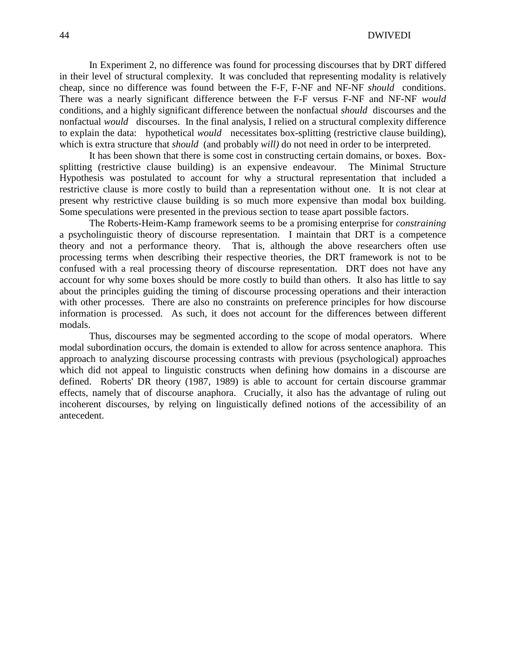44 DWIVEDI

 In Experiment 2, no difference was found for processing discourses that by DRT differed in their level of structural complexity. It was concluded that representing modality is relatively cheap, since no difference was found between the F-F, F-NF and NF-NF *should* conditions. There was a nearly significant difference between the F-F versus F-NF and NF-NF *would*  conditions, and a highly significant difference between the nonfactual *should* discourses and the nonfactual *would* discourses. In the final analysis, I relied on a structural complexity difference to explain the data: hypothetical *would* necessitates box-splitting (restrictive clause building), which is extra structure that *should* (and probably *will*) do not need in order to be interpreted.

 It has been shown that there is some cost in constructing certain domains, or boxes. Boxsplitting (restrictive clause building) is an expensive endeavour. The Minimal Structure Hypothesis was postulated to account for why a structural representation that included a restrictive clause is more costly to build than a representation without one. It is not clear at present why restrictive clause building is so much more expensive than modal box building. Some speculations were presented in the previous section to tease apart possible factors.

 The Roberts-Heim-Kamp framework seems to be a promising enterprise for *constraining* a psycholinguistic theory of discourse representation. I maintain that DRT is a competence theory and not a performance theory. That is, although the above researchers often use processing terms when describing their respective theories, the DRT framework is not to be confused with a real processing theory of discourse representation. DRT does not have any account for why some boxes should be more costly to build than others. It also has little to say about the principles guiding the timing of discourse processing operations and their interaction with other processes. There are also no constraints on preference principles for how discourse information is processed. As such, it does not account for the differences between different modals.

 Thus, discourses may be segmented according to the scope of modal operators. Where modal subordination occurs, the domain is extended to allow for across sentence anaphora. This approach to analyzing discourse processing contrasts with previous (psychological) approaches which did not appeal to linguistic constructs when defining how domains in a discourse are defined. Roberts' DR theory (1987, 1989) is able to account for certain discourse grammar effects, namely that of discourse anaphora. Crucially, it also has the advantage of ruling out incoherent discourses, by relying on linguistically defined notions of the accessibility of an antecedent.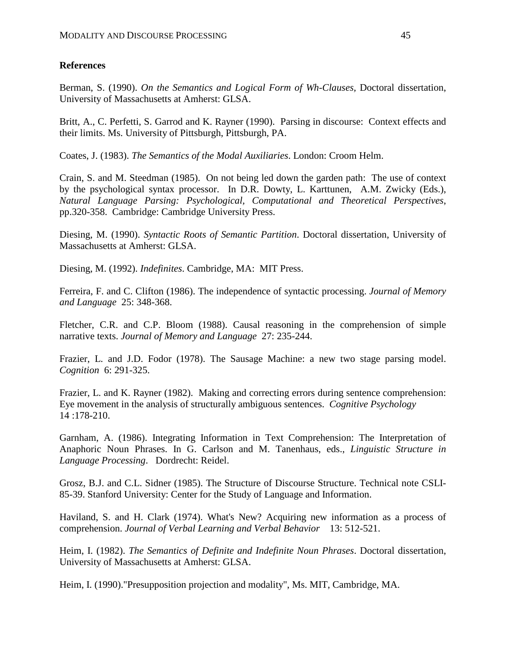## **References**

Berman, S. (1990). *On the Semantics and Logical Form of Wh-Clauses,* Doctoral dissertation, University of Massachusetts at Amherst: GLSA.

Britt, A., C. Perfetti, S. Garrod and K. Rayner (1990). Parsing in discourse: Context effects and their limits. Ms. University of Pittsburgh, Pittsburgh, PA.

Coates, J. (1983). *The Semantics of the Modal Auxiliaries*. London: Croom Helm.

Crain, S. and M. Steedman (1985). On not being led down the garden path: The use of context by the psychological syntax processor. In D.R. Dowty, L. Karttunen, A.M. Zwicky (Eds.), *Natural Language Parsing: Psychological, Computational and Theoretical Perspectives*, pp.320-358. Cambridge: Cambridge University Press.

Diesing, M. (1990). *Syntactic Roots of Semantic Partition*. Doctoral dissertation, University of Massachusetts at Amherst: GLSA.

Diesing, M. (1992). *Indefinites*. Cambridge, MA: MIT Press.

Ferreira, F. and C. Clifton (1986). The independence of syntactic processing. *Journal of Memory and Language* 25: 348-368.

Fletcher, C.R. and C.P. Bloom (1988). Causal reasoning in the comprehension of simple narrative texts. *Journal of Memory and Language* 27: 235-244.

Frazier, L. and J.D. Fodor (1978). The Sausage Machine: a new two stage parsing model. *Cognition* 6: 291-325.

Frazier, L. and K. Rayner (1982). Making and correcting errors during sentence comprehension: Eye movement in the analysis of structurally ambiguous sentences. *Cognitive Psychology* 14 :178-210.

Garnham, A. (1986). Integrating Information in Text Comprehension: The Interpretation of Anaphoric Noun Phrases. In G. Carlson and M. Tanenhaus, eds., *Linguistic Structure in Language Processing*. Dordrecht: Reidel.

Grosz, B.J. and C.L. Sidner (1985). The Structure of Discourse Structure. Technical note CSLI-85-39. Stanford University: Center for the Study of Language and Information.

Haviland, S. and H. Clark (1974). What's New? Acquiring new information as a process of comprehension. *Journal of Verbal Learning and Verbal Behavior* 13: 512-521.

Heim, I. (1982). *The Semantics of Definite and Indefinite Noun Phrases*. Doctoral dissertation, University of Massachusetts at Amherst: GLSA.

Heim, I. (1990)."Presupposition projection and modality", Ms. MIT, Cambridge, MA.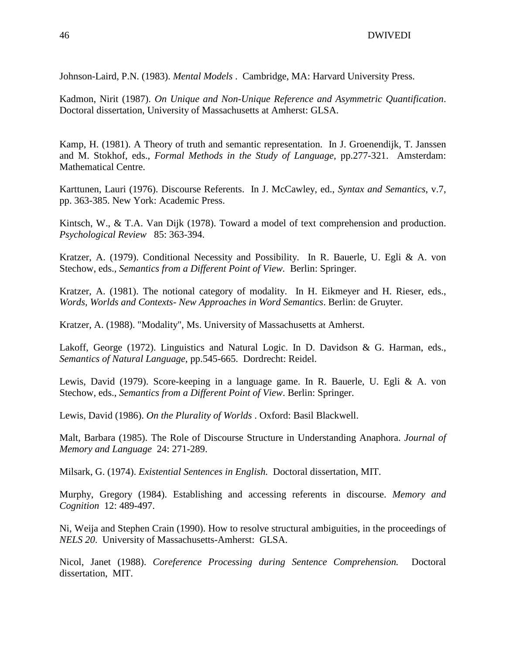Johnson-Laird, P.N. (1983). *Mental Models* . Cambridge, MA: Harvard University Press.

Kadmon, Nirit (1987). *On Unique and Non-Unique Reference and Asymmetric Quantification*. Doctoral dissertation, University of Massachusetts at Amherst: GLSA.

Kamp, H. (1981). A Theory of truth and semantic representation. In J. Groenendijk, T. Janssen and M. Stokhof, eds., *Formal Methods in the Study of Language*, pp.277-321. Amsterdam: Mathematical Centre.

Karttunen, Lauri (1976). Discourse Referents. In J. McCawley, ed., *Syntax and Semantics*, v.7, pp. 363-385. New York: Academic Press.

Kintsch, W., & T.A. Van Dijk (1978). Toward a model of text comprehension and production. *Psychological Review* 85: 363-394.

Kratzer, A. (1979). Conditional Necessity and Possibility. In R. Bauerle, U. Egli & A. von Stechow, eds., *Semantics from a Different Point of View.* Berlin: Springer.

Kratzer, A. (1981). The notional category of modality. In H. Eikmeyer and H. Rieser, eds., *Words, Worlds and Contexts- New Approaches in Word Semantics*. Berlin: de Gruyter.

Kratzer, A. (1988). "Modality", Ms. University of Massachusetts at Amherst.

Lakoff, George (1972). Linguistics and Natural Logic. In D. Davidson & G. Harman, eds., *Semantics of Natural Language*, pp.545-665. Dordrecht: Reidel.

Lewis, David (1979). Score-keeping in a language game. In R. Bauerle, U. Egli & A. von Stechow, eds., *Semantics from a Different Point of View*. Berlin: Springer.

Lewis, David (1986). *On the Plurality of Worlds* . Oxford: Basil Blackwell.

Malt, Barbara (1985). The Role of Discourse Structure in Understanding Anaphora. *Journal of Memory and Language* 24: 271-289.

Milsark, G. (1974). *Existential Sentences in English.* Doctoral dissertation, MIT.

Murphy, Gregory (1984). Establishing and accessing referents in discourse. *Memory and Cognition* 12: 489-497.

Ni, Weija and Stephen Crain (1990). How to resolve structural ambiguities, in the proceedings of *NELS 20*. University of Massachusetts-Amherst: GLSA.

Nicol, Janet (1988). *Coreference Processing during Sentence Comprehension.* Doctoral dissertation, MIT.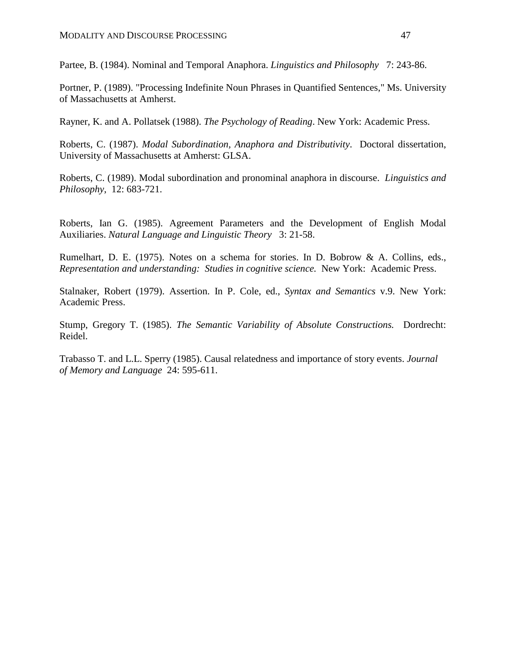Partee, B. (1984). Nominal and Temporal Anaphora. *Linguistics and Philosophy* 7: 243-86.

Portner, P. (1989). "Processing Indefinite Noun Phrases in Quantified Sentences," Ms. University of Massachusetts at Amherst.

Rayner, K. and A. Pollatsek (1988). *The Psychology of Reading*. New York: Academic Press.

Roberts, C. (1987). *Modal Subordination, Anaphora and Distributivity*. Doctoral dissertation, University of Massachusetts at Amherst: GLSA.

Roberts, C. (1989). Modal subordination and pronominal anaphora in discourse. *Linguistics and Philosophy*, 12: 683-721.

Roberts, Ian G. (1985). Agreement Parameters and the Development of English Modal Auxiliaries. *Natural Language and Linguistic Theory* 3: 21-58.

Rumelhart, D. E. (1975). Notes on a schema for stories. In D. Bobrow & A. Collins, eds., *Representation and understanding: Studies in cognitive science.* New York: Academic Press.

Stalnaker, Robert (1979). Assertion. In P. Cole, ed., *Syntax and Semantics* v.9. New York: Academic Press.

Stump, Gregory T. (1985). *The Semantic Variability of Absolute Constructions.* Dordrecht: Reidel.

Trabasso T. and L.L. Sperry (1985). Causal relatedness and importance of story events. *Journal of Memory and Language* 24: 595-611.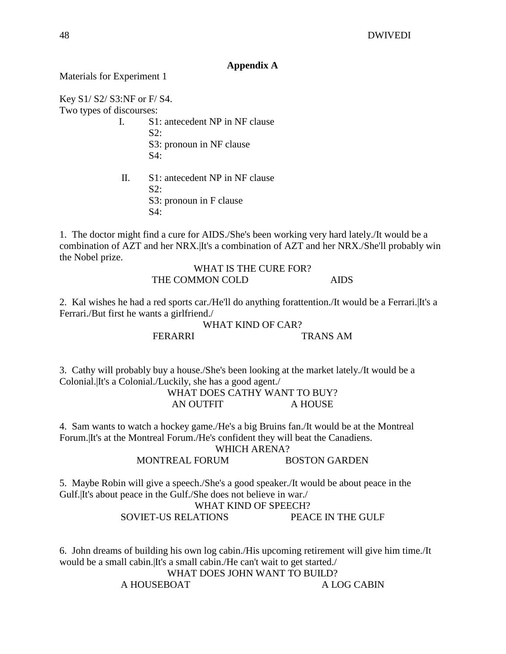## **Appendix A**

Materials for Experiment 1

Key S1/ S2/ S3:NF or F/ S4. Two types of discourses:

- I. S1: antecedent NP in NF clause  $S2:$  S3: pronoun in NF clause  $S4:$
- II. S1: antecedent NP in NF clause  $S2:$  S3: pronoun in F clause S4:

1. The doctor might find a cure for AIDS./She's been working very hard lately./It would be a combination of AZT and her NRX.|It's a combination of AZT and her NRX./She'll probably win the Nobel prize.

## WHAT IS THE CURE FOR? THE COMMON COLD AIDS

2. Kal wishes he had a red sports car./He'll do anything forattention./It would be a Ferrari.|It's a Ferrari./But first he wants a girlfriend./

> WHAT KIND OF CAR? FERARRI TRANS AM

3. Cathy will probably buy a house./She's been looking at the market lately./It would be a Colonial.|It's a Colonial./Luckily, she has a good agent./

WHAT DOES CATHY WANT TO BUY? AN OUTFIT A HOUSE

4. Sam wants to watch a hockey game./He's a big Bruins fan./It would be at the Montreal Forum.|It's at the Montreal Forum./He's confident they will beat the Canadiens.

WHICH ARENA?

MONTREAL FORUM BOSTON GARDEN

5. Maybe Robin will give a speech./She's a good speaker./It would be about peace in the Gulf.|It's about peace in the Gulf./She does not believe in war./

## WHAT KIND OF SPEECH?

SOVIET-US RELATIONS PEACE IN THE GULF

6. John dreams of building his own log cabin./His upcoming retirement will give him time./It would be a small cabin.|It's a small cabin./He can't wait to get started./

WHAT DOES JOHN WANT TO BUILD?

A HOUSEBOAT A LOG CABIN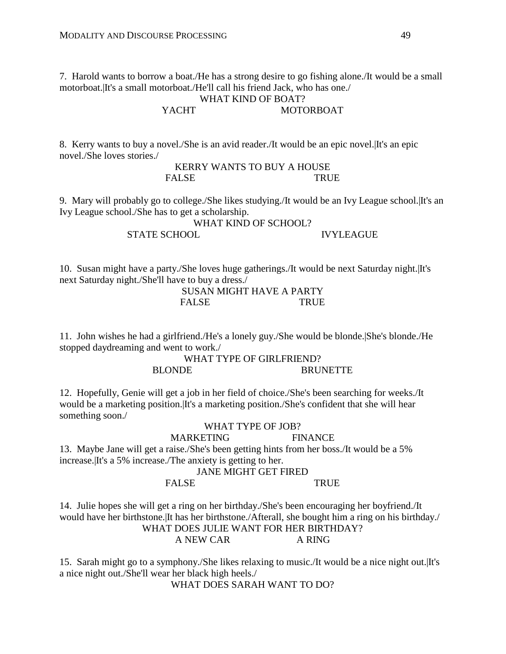7. Harold wants to borrow a boat./He has a strong desire to go fishing alone./It would be a small motorboat.|It's a small motorboat./He'll call his friend Jack, who has one./

#### WHAT KIND OF BOAT? YACHT MOTORBOAT

8. Kerry wants to buy a novel./She is an avid reader./It would be an epic novel.|It's an epic novel./She loves stories./

> KERRY WANTS TO BUY A HOUSE FALSE TRUE

9. Mary will probably go to college./She likes studying./It would be an Ivy League school.|It's an Ivy League school./She has to get a scholarship.

> WHAT KIND OF SCHOOL? STATE SCHOOL IVYLEAGUE

10. Susan might have a party./She loves huge gatherings./It would be next Saturday night.|It's next Saturday night./She'll have to buy a dress./

SUSAN MIGHT HAVE A PARTY FALSE TRUE

11. John wishes he had a girlfriend./He's a lonely guy./She would be blonde.|She's blonde./He stopped daydreaming and went to work./

> WHAT TYPE OF GIRLFRIEND? BLONDE BRUNETTE

12. Hopefully, Genie will get a job in her field of choice./She's been searching for weeks./It would be a marketing position.|It's a marketing position./She's confident that she will hear something soon./

## WHAT TYPE OF JOB? MARKETING FINANCE 13. Maybe Jane will get a raise./She's been getting hints from her boss./It would be a 5% increase.|It's a 5% increase./The anxiety is getting to her.

JANE MIGHT GET FIRED

## FALSE TRUE

14. Julie hopes she will get a ring on her birthday./She's been encouraging her boyfriend./It would have her birthstone.|It has her birthstone./Afterall, she bought him a ring on his birthday./

WHAT DOES JULIE WANT FOR HER BIRTHDAY?

A NEW CAR A RING

15. Sarah might go to a symphony./She likes relaxing to music./It would be a nice night out.|It's a nice night out./She'll wear her black high heels./

WHAT DOES SARAH WANT TO DO?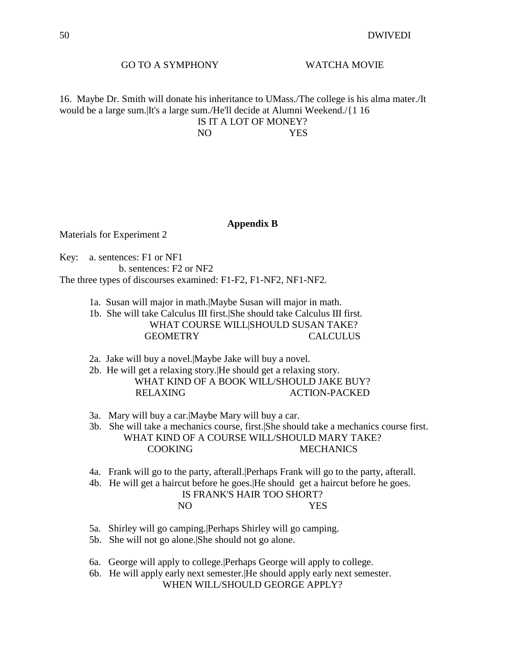#### GO TO A SYMPHONY WATCHA MOVIE

16. Maybe Dr. Smith will donate his inheritance to UMass./The college is his alma mater./It would be a large sum.|It's a large sum./He'll decide at Alumni Weekend./{1 16 IS IT A LOT OF MONEY?

NO YES

#### **Appendix B**

Materials for Experiment 2

Key: a. sentences: F1 or NF1 b. sentences: F2 or NF2 The three types of discourses examined: F1-F2, F1-NF2, NF1-NF2.

1a. Susan will major in math.|Maybe Susan will major in math.

 1b. She will take Calculus III first.|She should take Calculus III first. WHAT COURSE WILL|SHOULD SUSAN TAKE? GEOMETRY CALCULUS

- 2a. Jake will buy a novel.|Maybe Jake will buy a novel.
- 2b. He will get a relaxing story.|He should get a relaxing story. WHAT KIND OF A BOOK WILL/SHOULD JAKE BUY? RELAXING ACTION-PACKED
- 3a. Mary will buy a car.|Maybe Mary will buy a car.

 3b. She will take a mechanics course, first.|She should take a mechanics course first. WHAT KIND OF A COURSE WILL/SHOULD MARY TAKE? COOKING MECHANICS

- 4a. Frank will go to the party, afterall.|Perhaps Frank will go to the party, afterall.
- 4b. He will get a haircut before he goes.|He should get a haircut before he goes.

| IS FRANK'S HAIR TOO SHORT? |      |
|----------------------------|------|
| NO.                        | YES. |

- 5a. Shirley will go camping.|Perhaps Shirley will go camping.
- 5b. She will not go alone.|She should not go alone.
- 6a. George will apply to college.|Perhaps George will apply to college.
- 6b. He will apply early next semester.|He should apply early next semester. WHEN WILL/SHOULD GEORGE APPLY?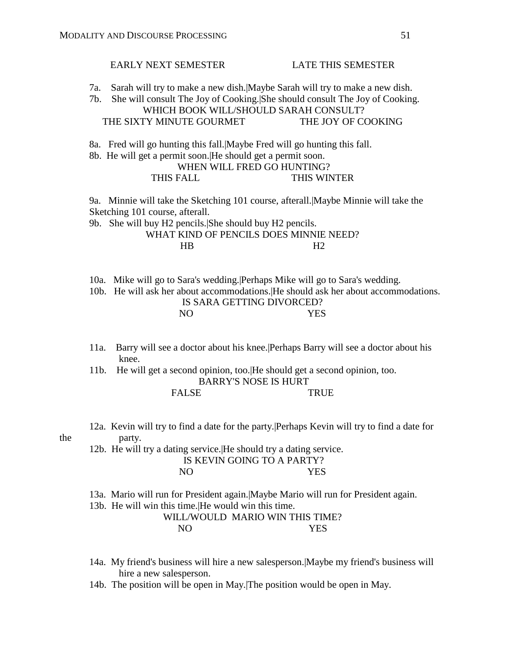# EARLY NEXT SEMESTER LATE THIS SEMESTER 7a. Sarah will try to make a new dish.|Maybe Sarah will try to make a new dish. 7b. She will consult The Joy of Cooking.|She should consult The Joy of Cooking. WHICH BOOK WILL/SHOULD SARAH CONSULT? THE SIXTY MINUTE GOURMET THE JOY OF COOKING 8a. Fred will go hunting this fall.|Maybe Fred will go hunting this fall. 8b. He will get a permit soon.|He should get a permit soon. WHEN WILL FRED GO HUNTING? THIS FALL THIS WINTER

 9a. Minnie will take the Sketching 101 course, afterall.|Maybe Minnie will take the Sketching 101 course, afterall.

 9b. She will buy H2 pencils.|She should buy H2 pencils. WHAT KIND OF PENCILS DOES MINNIE NEED?  $HB$  H2

10a. Mike will go to Sara's wedding.|Perhaps Mike will go to Sara's wedding.

 10b. He will ask her about accommodations.|He should ask her about accommodations. IS SARA GETTING DIVORCED? NO YES

- 11a. Barry will see a doctor about his knee.|Perhaps Barry will see a doctor about his knee.
- 11b. He will get a second opinion, too.|He should get a second opinion, too. BARRY'S NOSE IS HURT FALSE TRUE

 12a. Kevin will try to find a date for the party.|Perhaps Kevin will try to find a date for the party.

 12b. He will try a dating service.|He should try a dating service. IS KEVIN GOING TO A PARTY? NO YES

13a. Mario will run for President again.|Maybe Mario will run for President again.

13b. He will win this time.|He would win this time.

WILL/WOULD MARIO WIN THIS TIME? NO YES

- 14a. My friend's business will hire a new salesperson.|Maybe my friend's business will hire a new salesperson.
- 14b. The position will be open in May.|The position would be open in May.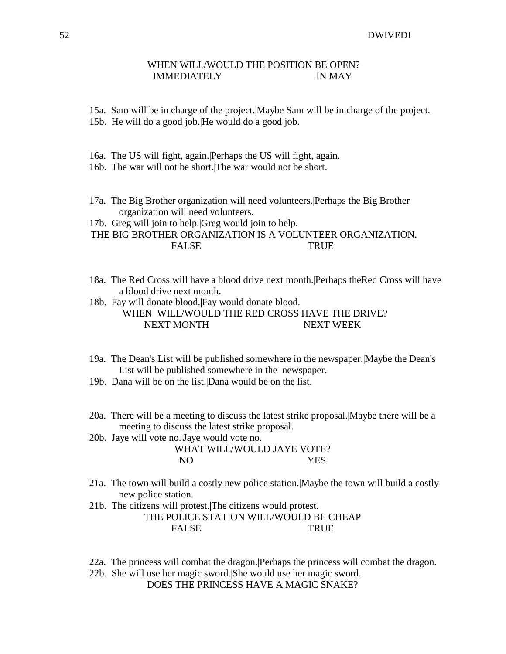#### 52 DWIVEDI

## WHEN WILL/WOULD THE POSITION BE OPEN? IMMEDIATELY IN MAY

15a. Sam will be in charge of the project.|Maybe Sam will be in charge of the project.

- 15b. He will do a good job.|He would do a good job.
- 16a. The US will fight, again.|Perhaps the US will fight, again.
- 16b. The war will not be short.|The war would not be short.
- 17a. The Big Brother organization will need volunteers.|Perhaps the Big Brother organization will need volunteers.
- 17b. Greg will join to help.|Greg would join to help.

 THE BIG BROTHER ORGANIZATION IS A VOLUNTEER ORGANIZATION. FALSE TRUE

 18a. The Red Cross will have a blood drive next month.|Perhaps theRed Cross will have a blood drive next month.

 18b. Fay will donate blood.|Fay would donate blood. WHEN WILL/WOULD THE RED CROSS HAVE THE DRIVE? NEXT MONTH NEXT WEEK

- 19a. The Dean's List will be published somewhere in the newspaper.|Maybe the Dean's List will be published somewhere in the newspaper.
- 19b. Dana will be on the list.|Dana would be on the list.
- 20a. There will be a meeting to discuss the latest strike proposal.|Maybe there will be a meeting to discuss the latest strike proposal.
- 20b. Jaye will vote no.|Jaye would vote no.

WHAT WILL/WOULD JAYE VOTE? NO YES

- 21a. The town will build a costly new police station.|Maybe the town will build a costly new police station.
- 21b. The citizens will protest.|The citizens would protest.

THE POLICE STATION WILL/WOULD BE CHEAP FALSE TRUE

- 22a. The princess will combat the dragon.|Perhaps the princess will combat the dragon.
- 22b. She will use her magic sword.|She would use her magic sword. DOES THE PRINCESS HAVE A MAGIC SNAKE?